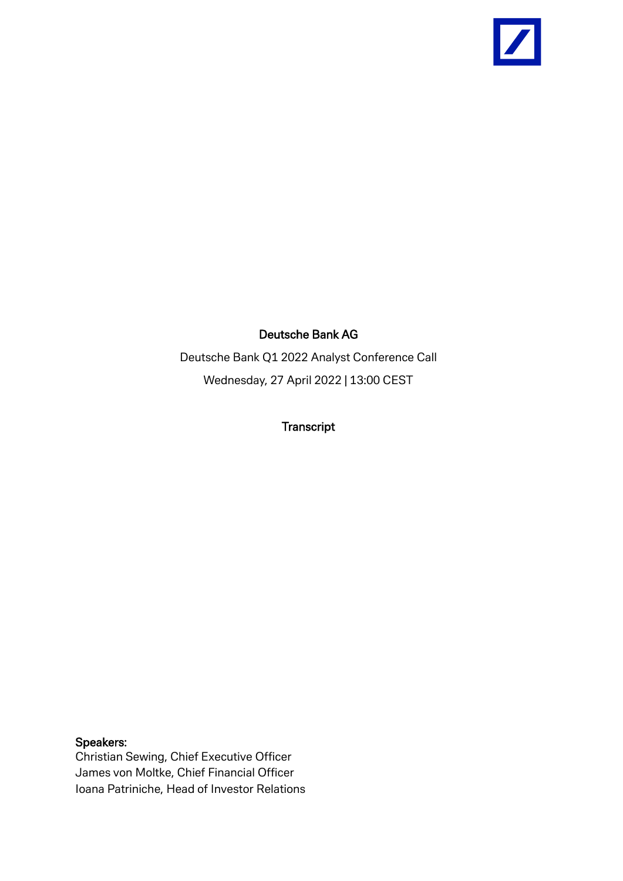

### Deutsche Bank AG

Deutsche Bank Q1 2022 Analyst Conference Call Wednesday, 27 April 2022 | 13:00 CEST

**Transcript** 

Speakers:

Christian Sewing, Chief Executive Officer James von Moltke, Chief Financial Officer Ioana Patriniche, Head of Investor Relations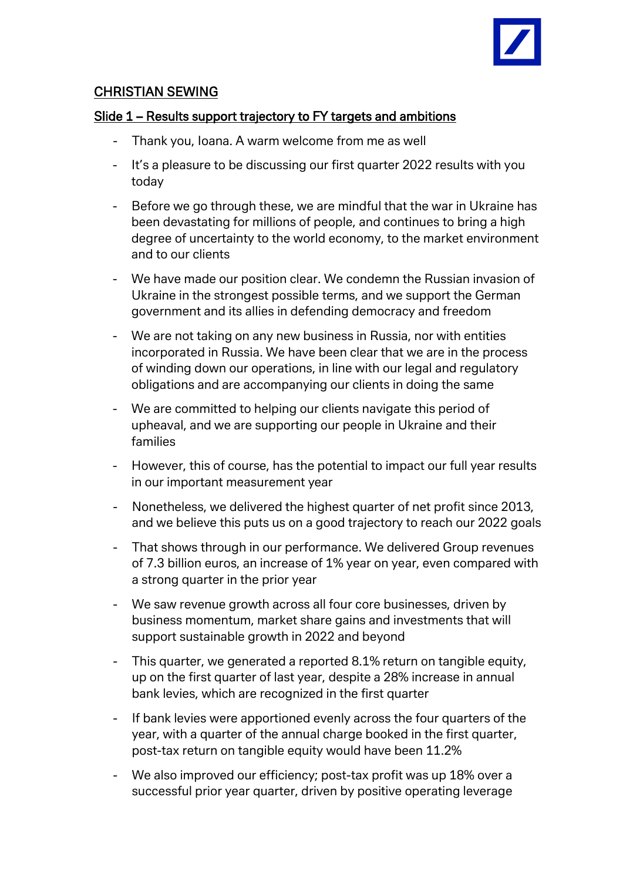

# CHRISTIAN SEWING

#### Slide 1 – Results support trajectory to FY targets and ambitions

- Thank you, Ioana. A warm welcome from me as well
- It's a pleasure to be discussing our first quarter 2022 results with you today
- Before we go through these, we are mindful that the war in Ukraine has been devastating for millions of people, and continues to bring a high degree of uncertainty to the world economy, to the market environment and to our clients
- We have made our position clear. We condemn the Russian invasion of Ukraine in the strongest possible terms, and we support the German government and its allies in defending democracy and freedom
- We are not taking on any new business in Russia, nor with entities incorporated in Russia. We have been clear that we are in the process of winding down our operations, in line with our legal and regulatory obligations and are accompanying our clients in doing the same
- We are committed to helping our clients navigate this period of upheaval, and we are supporting our people in Ukraine and their families
- However, this of course, has the potential to impact our full year results in our important measurement year
- Nonetheless, we delivered the highest quarter of net profit since 2013, and we believe this puts us on a good trajectory to reach our 2022 goals
- That shows through in our performance. We delivered Group revenues of 7.3 billion euros, an increase of 1% year on year, even compared with a strong quarter in the prior year
- We saw revenue growth across all four core businesses, driven by business momentum, market share gains and investments that will support sustainable growth in 2022 and beyond
- This quarter, we generated a reported 8.1% return on tangible equity, up on the first quarter of last year, despite a 28% increase in annual bank levies, which are recognized in the first quarter
- If bank levies were apportioned evenly across the four quarters of the year, with a quarter of the annual charge booked in the first quarter, post-tax return on tangible equity would have been 11.2%
- We also improved our efficiency; post-tax profit was up 18% over a successful prior year quarter, driven by positive operating leverage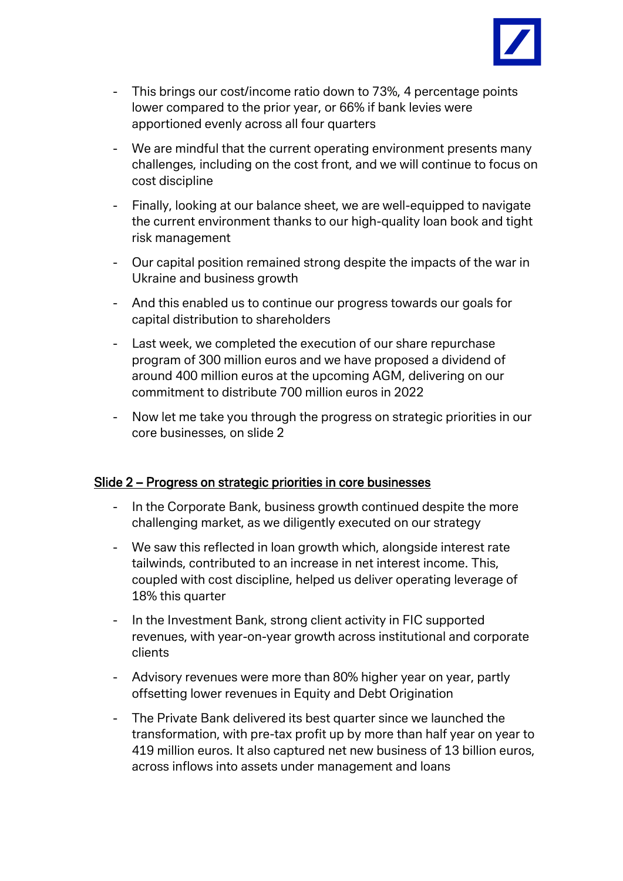

- This brings our cost/income ratio down to 73%, 4 percentage points lower compared to the prior year, or 66% if bank levies were apportioned evenly across all four quarters
- We are mindful that the current operating environment presents many challenges, including on the cost front, and we will continue to focus on cost discipline
- Finally, looking at our balance sheet, we are well-equipped to navigate the current environment thanks to our high-quality loan book and tight risk management
- Our capital position remained strong despite the impacts of the war in Ukraine and business growth
- And this enabled us to continue our progress towards our goals for capital distribution to shareholders
- Last week, we completed the execution of our share repurchase program of 300 million euros and we have proposed a dividend of around 400 million euros at the upcoming AGM, delivering on our commitment to distribute 700 million euros in 2022
- Now let me take you through the progress on strategic priorities in our core businesses, on slide 2

### Slide 2 – Progress on strategic priorities in core businesses

- In the Corporate Bank, business growth continued despite the more challenging market, as we diligently executed on our strategy
- We saw this reflected in loan growth which, alongside interest rate tailwinds, contributed to an increase in net interest income. This, coupled with cost discipline, helped us deliver operating leverage of 18% this quarter
- In the Investment Bank, strong client activity in FIC supported revenues, with year-on-year growth across institutional and corporate clients
- Advisory revenues were more than 80% higher year on year, partly offsetting lower revenues in Equity and Debt Origination
- The Private Bank delivered its best quarter since we launched the transformation, with pre-tax profit up by more than half year on year to 419 million euros. It also captured net new business of 13 billion euros, across inflows into assets under management and loans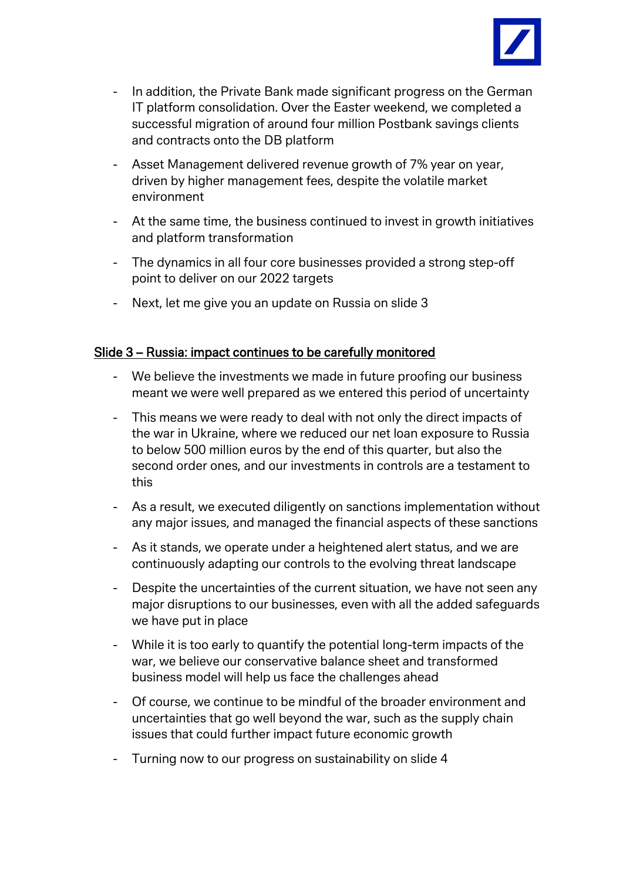

- In addition, the Private Bank made significant progress on the German IT platform consolidation. Over the Easter weekend, we completed a successful migration of around four million Postbank savings clients and contracts onto the DB platform
- Asset Management delivered revenue growth of 7% year on year, driven by higher management fees, despite the volatile market environment
- At the same time, the business continued to invest in growth initiatives and platform transformation
- The dynamics in all four core businesses provided a strong step-off point to deliver on our 2022 targets
- Next, let me give you an update on Russia on slide 3

#### Slide 3 – Russia: impact continues to be carefully monitored

- We believe the investments we made in future proofing our business meant we were well prepared as we entered this period of uncertainty
- This means we were ready to deal with not only the direct impacts of the war in Ukraine, where we reduced our net loan exposure to Russia to below 500 million euros by the end of this quarter, but also the second order ones, and our investments in controls are a testament to this
- As a result, we executed diligently on sanctions implementation without any major issues, and managed the financial aspects of these sanctions
- As it stands, we operate under a heightened alert status, and we are continuously adapting our controls to the evolving threat landscape
- Despite the uncertainties of the current situation, we have not seen any major disruptions to our businesses, even with all the added safeguards we have put in place
- While it is too early to quantify the potential long-term impacts of the war, we believe our conservative balance sheet and transformed business model will help us face the challenges ahead
- Of course, we continue to be mindful of the broader environment and uncertainties that go well beyond the war, such as the supply chain issues that could further impact future economic growth
- Turning now to our progress on sustainability on slide 4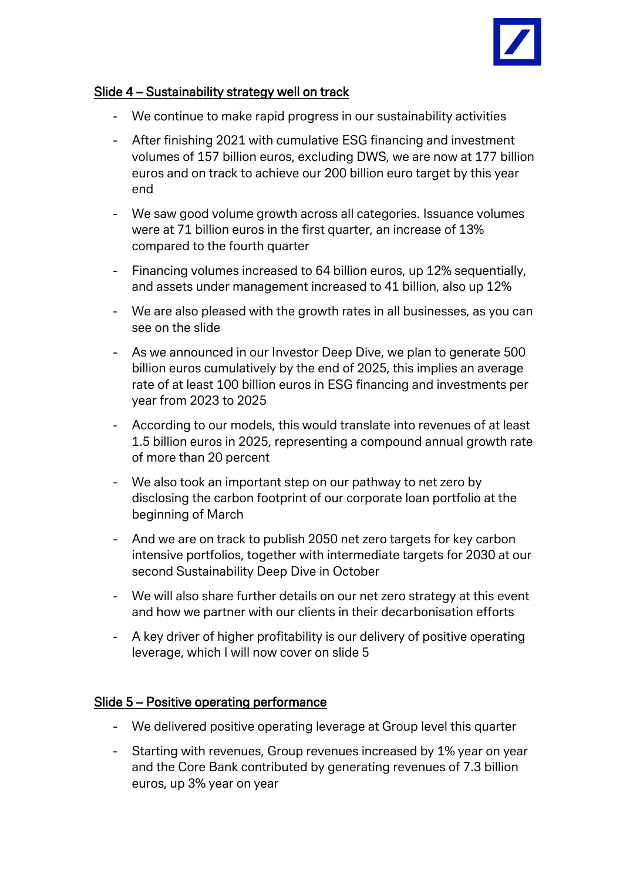

### Slide 4 – Sustainability strategy well on track

- We continue to make rapid progress in our sustainability activities
- After finishing 2021 with cumulative ESG financing and investment volumes of 157 billion euros, excluding DWS, we are now at 177 billion euros and on track to achieve our 200 billion euro target by this year end
- We saw good volume growth across all categories. Issuance volumes were at 71 billion euros in the first quarter, an increase of 13% compared to the fourth quarter
- Financing volumes increased to 64 billion euros, up 12% sequentially, and assets under management increased to 41 billion, also up 12%
- We are also pleased with the growth rates in all businesses, as you can see on the slide
- As we announced in our Investor Deep Dive, we plan to generate 500 billion euros cumulatively by the end of 2025, this implies an average rate of at least 100 billion euros in ESG financing and investments per year from 2023 to 2025
- According to our models, this would translate into revenues of at least 1.5 billion euros in 2025, representing a compound annual growth rate of more than 20 percent
- We also took an important step on our pathway to net zero by disclosing the carbon footprint of our corporate loan portfolio at the beginning of March
- And we are on track to publish 2050 net zero targets for key carbon intensive portfolios, together with intermediate targets for 2030 at our second Sustainability Deep Dive in October
- We will also share further details on our net zero strategy at this event and how we partner with our clients in their decarbonisation efforts
- A key driver of higher profitability is our delivery of positive operating leverage, which I will now cover on slide 5

# Slide 5 – Positive operating performance

- We delivered positive operating leverage at Group level this quarter
- Starting with revenues, Group revenues increased by 1% year on year and the Core Bank contributed by generating revenues of 7.3 billion euros, up 3% year on year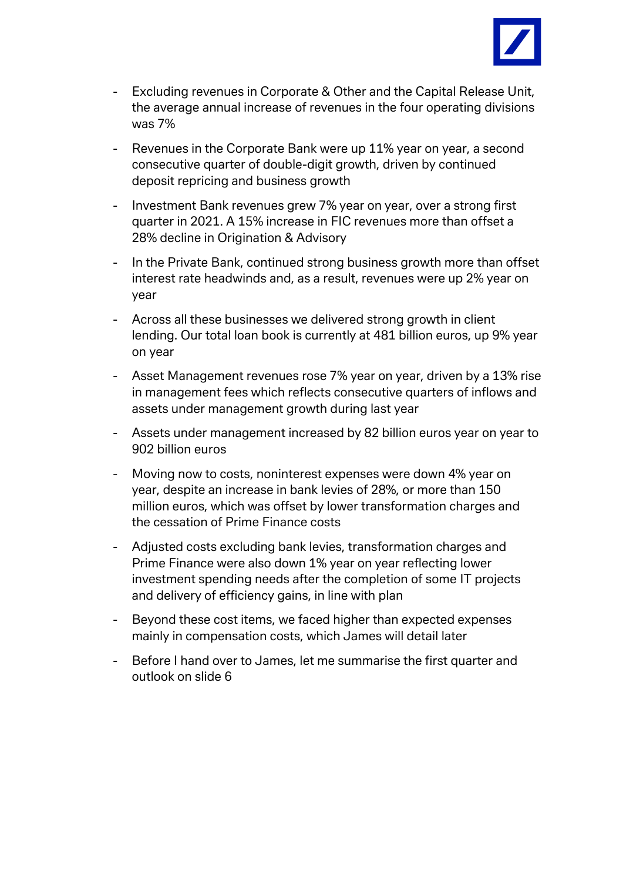

- Excluding revenues in Corporate & Other and the Capital Release Unit, the average annual increase of revenues in the four operating divisions was 7%
- Revenues in the Corporate Bank were up 11% year on year, a second consecutive quarter of double-digit growth, driven by continued deposit repricing and business growth
- Investment Bank revenues grew 7% year on year, over a strong first quarter in 2021. A 15% increase in FIC revenues more than offset a 28% decline in Origination & Advisory
- In the Private Bank, continued strong business growth more than offset interest rate headwinds and, as a result, revenues were up 2% year on year
- Across all these businesses we delivered strong growth in client lending. Our total loan book is currently at 481 billion euros, up 9% year on year
- Asset Management revenues rose 7% year on year, driven by a 13% rise in management fees which reflects consecutive quarters of inflows and assets under management growth during last year
- Assets under management increased by 82 billion euros year on year to 902 billion euros
- Moving now to costs, noninterest expenses were down 4% year on year, despite an increase in bank levies of 28%, or more than 150 million euros, which was offset by lower transformation charges and the cessation of Prime Finance costs
- Adjusted costs excluding bank levies, transformation charges and Prime Finance were also down 1% year on year reflecting lower investment spending needs after the completion of some IT projects and delivery of efficiency gains, in line with plan
- Beyond these cost items, we faced higher than expected expenses mainly in compensation costs, which James will detail later
- Before I hand over to James, let me summarise the first quarter and outlook on slide 6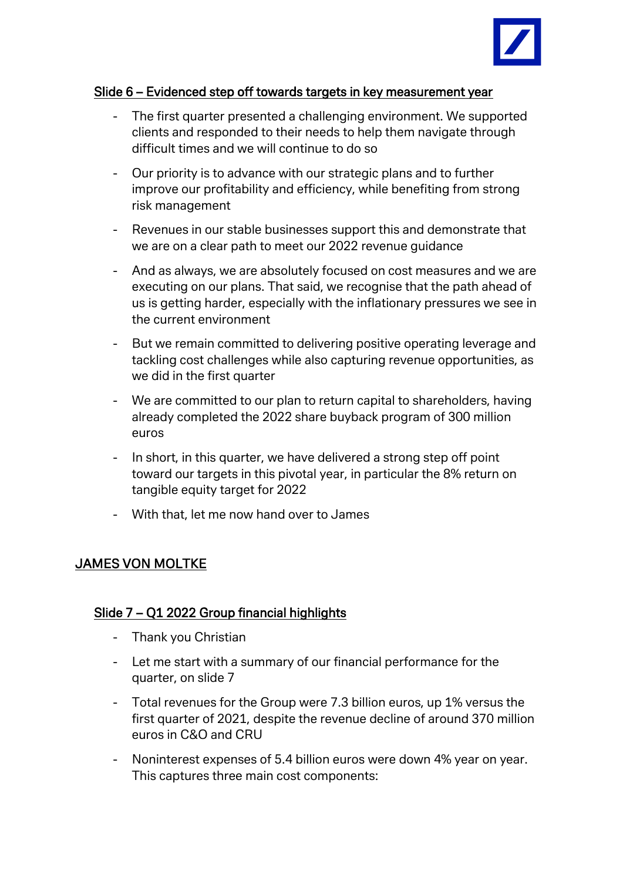

### Slide 6 – Evidenced step off towards targets in key measurement year

- The first quarter presented a challenging environment. We supported clients and responded to their needs to help them navigate through difficult times and we will continue to do so
- Our priority is to advance with our strategic plans and to further improve our profitability and efficiency, while benefiting from strong risk management
- Revenues in our stable businesses support this and demonstrate that we are on a clear path to meet our 2022 revenue guidance
- And as always, we are absolutely focused on cost measures and we are executing on our plans. That said, we recognise that the path ahead of us is getting harder, especially with the inflationary pressures we see in the current environment
- But we remain committed to delivering positive operating leverage and tackling cost challenges while also capturing revenue opportunities, as we did in the first quarter
- We are committed to our plan to return capital to shareholders, having already completed the 2022 share buyback program of 300 million euros
- In short, in this quarter, we have delivered a strong step off point toward our targets in this pivotal year, in particular the 8% return on tangible equity target for 2022
- With that, let me now hand over to James

# JAMES VON MOLTKE

# Slide 7 – Q1 2022 Group financial highlights

- Thank you Christian
- Let me start with a summary of our financial performance for the quarter, on slide 7
- Total revenues for the Group were 7.3 billion euros, up 1% versus the first quarter of 2021, despite the revenue decline of around 370 million euros in C&O and CRU
- Noninterest expenses of 5.4 billion euros were down 4% year on year. This captures three main cost components: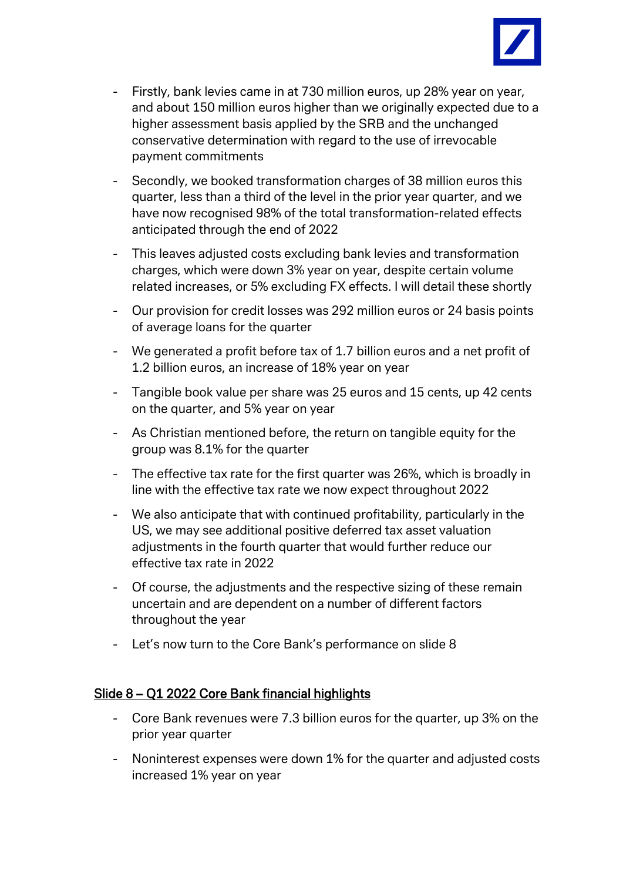

- Firstly, bank levies came in at 730 million euros, up 28% year on year, and about 150 million euros higher than we originally expected due to a higher assessment basis applied by the SRB and the unchanged conservative determination with regard to the use of irrevocable payment commitments
- Secondly, we booked transformation charges of 38 million euros this quarter, less than a third of the level in the prior year quarter, and we have now recognised 98% of the total transformation-related effects anticipated through the end of 2022
- This leaves adjusted costs excluding bank levies and transformation charges, which were down 3% year on year, despite certain volume related increases, or 5% excluding FX effects. I will detail these shortly
- Our provision for credit losses was 292 million euros or 24 basis points of average loans for the quarter
- We generated a profit before tax of 1.7 billion euros and a net profit of 1.2 billion euros, an increase of 18% year on year
- Tangible book value per share was 25 euros and 15 cents, up 42 cents on the quarter, and 5% year on year
- As Christian mentioned before, the return on tangible equity for the group was 8.1% for the quarter
- The effective tax rate for the first quarter was 26%, which is broadly in line with the effective tax rate we now expect throughout 2022
- We also anticipate that with continued profitability, particularly in the US, we may see additional positive deferred tax asset valuation adjustments in the fourth quarter that would further reduce our effective tax rate in 2022
- Of course, the adjustments and the respective sizing of these remain uncertain and are dependent on a number of different factors throughout the year
- Let's now turn to the Core Bank's performance on slide 8

# Slide 8 – Q1 2022 Core Bank financial highlights

- Core Bank revenues were 7.3 billion euros for the quarter, up 3% on the prior year quarter
- Noninterest expenses were down 1% for the quarter and adjusted costs increased 1% year on year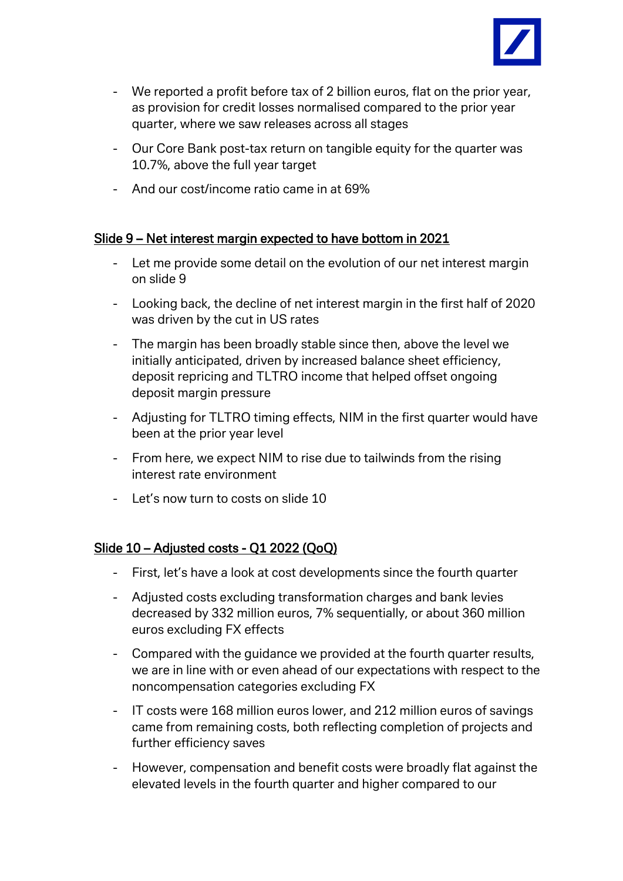

- We reported a profit before tax of 2 billion euros, flat on the prior year, as provision for credit losses normalised compared to the prior year quarter, where we saw releases across all stages
- Our Core Bank post-tax return on tangible equity for the quarter was 10.7%, above the full year target
- And our cost/income ratio came in at 69%

### Slide 9 – Net interest margin expected to have bottom in 2021

- Let me provide some detail on the evolution of our net interest margin on slide 9
- Looking back, the decline of net interest margin in the first half of 2020 was driven by the cut in US rates
- The margin has been broadly stable since then, above the level we initially anticipated, driven by increased balance sheet efficiency, deposit repricing and TLTRO income that helped offset ongoing deposit margin pressure
- Adjusting for TLTRO timing effects, NIM in the first quarter would have been at the prior year level
- From here, we expect NIM to rise due to tailwinds from the rising interest rate environment
- Let's now turn to costs on slide 10

### Slide 10 – Adjusted costs - Q1 2022 (QoQ)

- First, let's have a look at cost developments since the fourth quarter
- Adjusted costs excluding transformation charges and bank levies decreased by 332 million euros, 7% sequentially, or about 360 million euros excluding FX effects
- Compared with the guidance we provided at the fourth quarter results, we are in line with or even ahead of our expectations with respect to the noncompensation categories excluding FX
- IT costs were 168 million euros lower, and 212 million euros of savings came from remaining costs, both reflecting completion of projects and further efficiency saves
- However, compensation and benefit costs were broadly flat against the elevated levels in the fourth quarter and higher compared to our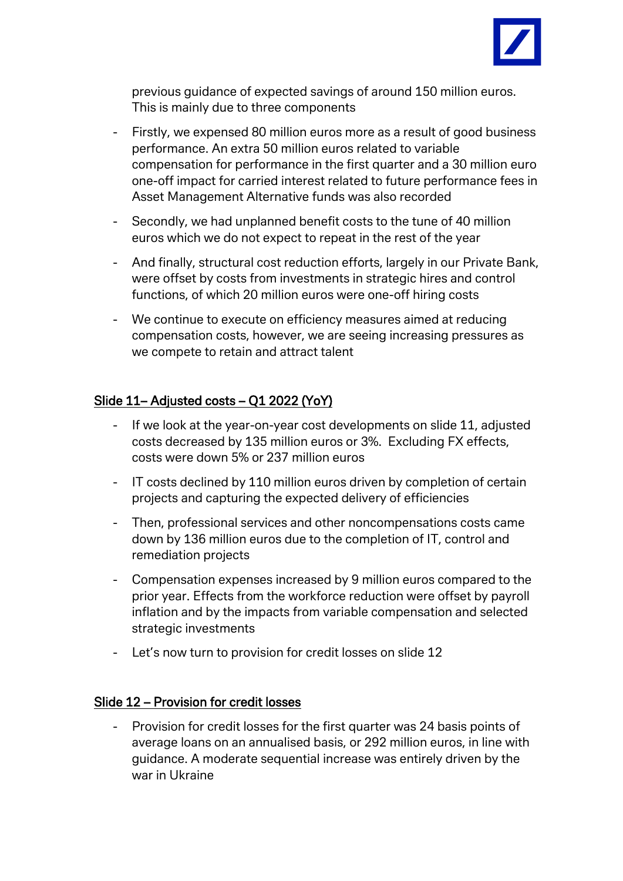

previous guidance of expected savings of around 150 million euros. This is mainly due to three components

- Firstly, we expensed 80 million euros more as a result of good business performance. An extra 50 million euros related to variable compensation for performance in the first quarter and a 30 million euro one-off impact for carried interest related to future performance fees in Asset Management Alternative funds was also recorded
- Secondly, we had unplanned benefit costs to the tune of 40 million euros which we do not expect to repeat in the rest of the year
- And finally, structural cost reduction efforts, largely in our Private Bank, were offset by costs from investments in strategic hires and control functions, of which 20 million euros were one-off hiring costs
- We continue to execute on efficiency measures aimed at reducing compensation costs, however, we are seeing increasing pressures as we compete to retain and attract talent

# Slide 11– Adjusted costs – Q1 2022 (YoY)

- If we look at the year-on-year cost developments on slide 11, adjusted costs decreased by 135 million euros or 3%. Excluding FX effects, costs were down 5% or 237 million euros
- IT costs declined by 110 million euros driven by completion of certain projects and capturing the expected delivery of efficiencies
- Then, professional services and other noncompensations costs came down by 136 million euros due to the completion of IT, control and remediation projects
- Compensation expenses increased by 9 million euros compared to the prior year. Effects from the workforce reduction were offset by payroll inflation and by the impacts from variable compensation and selected strategic investments
- Let's now turn to provision for credit losses on slide 12

### Slide 12 – Provision for credit losses

Provision for credit losses for the first quarter was 24 basis points of average loans on an annualised basis, or 292 million euros, in line with guidance. A moderate sequential increase was entirely driven by the war in Ukraine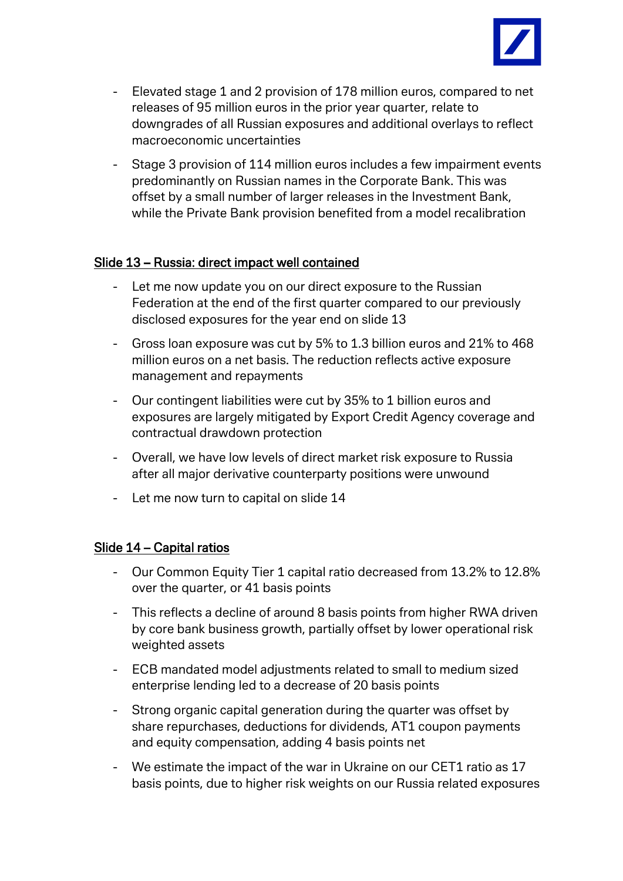

- Elevated stage 1 and 2 provision of 178 million euros, compared to net releases of 95 million euros in the prior year quarter, relate to downgrades of all Russian exposures and additional overlays to reflect macroeconomic uncertainties
- Stage 3 provision of 114 million euros includes a few impairment events predominantly on Russian names in the Corporate Bank. This was offset by a small number of larger releases in the Investment Bank, while the Private Bank provision benefited from a model recalibration

### Slide 13 – Russia: direct impact well contained

- Let me now update you on our direct exposure to the Russian Federation at the end of the first quarter compared to our previously disclosed exposures for the year end on slide 13
- Gross loan exposure was cut by 5% to 1.3 billion euros and 21% to 468 million euros on a net basis. The reduction reflects active exposure management and repayments
- Our contingent liabilities were cut by 35% to 1 billion euros and exposures are largely mitigated by Export Credit Agency coverage and contractual drawdown protection
- Overall, we have low levels of direct market risk exposure to Russia after all major derivative counterparty positions were unwound
- Let me now turn to capital on slide 14

### Slide 14 – Capital ratios

- Our Common Equity Tier 1 capital ratio decreased from 13.2% to 12.8% over the quarter, or 41 basis points
- This reflects a decline of around 8 basis points from higher RWA driven by core bank business growth, partially offset by lower operational risk weighted assets
- ECB mandated model adjustments related to small to medium sized enterprise lending led to a decrease of 20 basis points
- Strong organic capital generation during the quarter was offset by share repurchases, deductions for dividends, AT1 coupon payments and equity compensation, adding 4 basis points net
- We estimate the impact of the war in Ukraine on our CET1 ratio as 17 basis points, due to higher risk weights on our Russia related exposures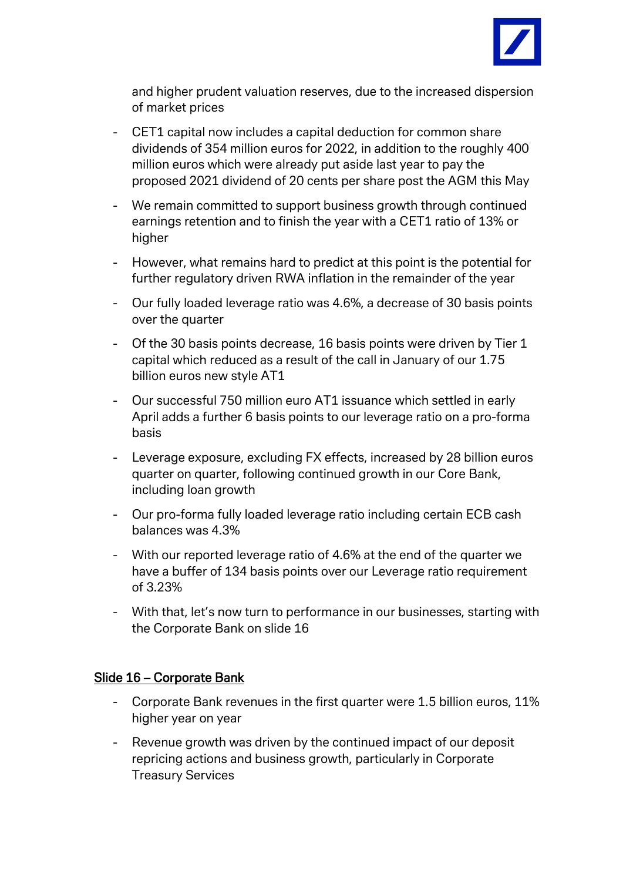

and higher prudent valuation reserves, due to the increased dispersion of market prices

- CET1 capital now includes a capital deduction for common share dividends of 354 million euros for 2022, in addition to the roughly 400 million euros which were already put aside last year to pay the proposed 2021 dividend of 20 cents per share post the AGM this May
- We remain committed to support business growth through continued earnings retention and to finish the year with a CET1 ratio of 13% or higher
- However, what remains hard to predict at this point is the potential for further regulatory driven RWA inflation in the remainder of the year
- Our fully loaded leverage ratio was 4.6%, a decrease of 30 basis points over the quarter
- Of the 30 basis points decrease, 16 basis points were driven by Tier 1 capital which reduced as a result of the call in January of our 1.75 billion euros new style AT1
- Our successful 750 million euro AT1 issuance which settled in early April adds a further 6 basis points to our leverage ratio on a pro-forma basis
- Leverage exposure, excluding FX effects, increased by 28 billion euros quarter on quarter, following continued growth in our Core Bank, including loan growth
- Our pro-forma fully loaded leverage ratio including certain ECB cash balances was 4.3%
- With our reported leverage ratio of 4.6% at the end of the quarter we have a buffer of 134 basis points over our Leverage ratio requirement of 3.23%
- With that, let's now turn to performance in our businesses, starting with the Corporate Bank on slide 16

### Slide 16 – Corporate Bank

- Corporate Bank revenues in the first quarter were 1.5 billion euros, 11% higher year on year
- Revenue growth was driven by the continued impact of our deposit repricing actions and business growth, particularly in Corporate Treasury Services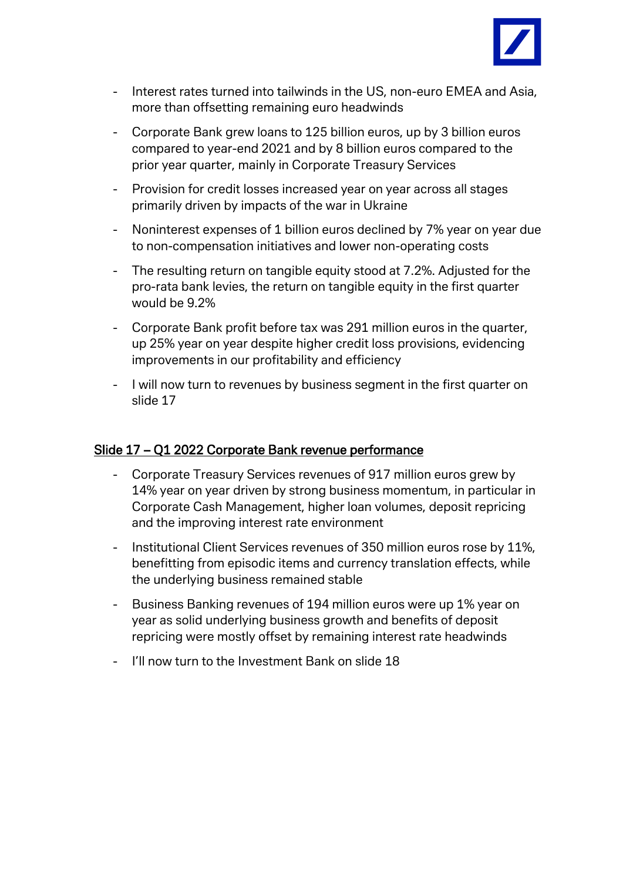

- Interest rates turned into tailwinds in the US, non-euro EMEA and Asia, more than offsetting remaining euro headwinds
- Corporate Bank grew loans to 125 billion euros, up by 3 billion euros compared to year-end 2021 and by 8 billion euros compared to the prior year quarter, mainly in Corporate Treasury Services
- Provision for credit losses increased year on year across all stages primarily driven by impacts of the war in Ukraine
- Noninterest expenses of 1 billion euros declined by 7% year on year due to non-compensation initiatives and lower non-operating costs
- The resulting return on tangible equity stood at 7.2%. Adjusted for the pro-rata bank levies, the return on tangible equity in the first quarter would be 9.2%
- Corporate Bank profit before tax was 291 million euros in the quarter, up 25% year on year despite higher credit loss provisions, evidencing improvements in our profitability and efficiency
- I will now turn to revenues by business segment in the first quarter on slide 17

### Slide 17 – Q1 2022 Corporate Bank revenue performance

- Corporate Treasury Services revenues of 917 million euros grew by 14% year on year driven by strong business momentum, in particular in Corporate Cash Management, higher loan volumes, deposit repricing and the improving interest rate environment
- Institutional Client Services revenues of 350 million euros rose by 11%, benefitting from episodic items and currency translation effects, while the underlying business remained stable
- Business Banking revenues of 194 million euros were up 1% year on year as solid underlying business growth and benefits of deposit repricing were mostly offset by remaining interest rate headwinds
- I'll now turn to the Investment Bank on slide 18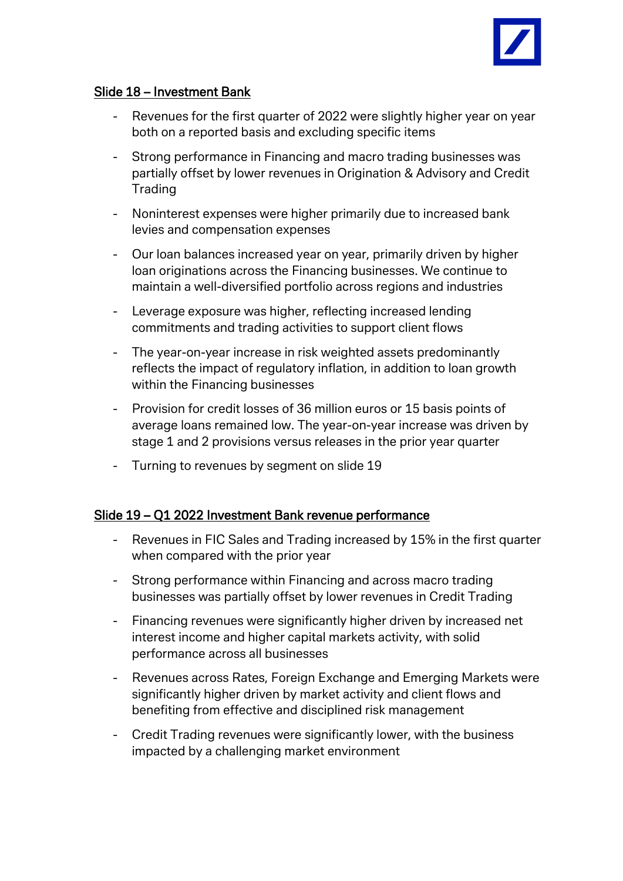

### Slide 18 – Investment Bank

- Revenues for the first quarter of 2022 were slightly higher year on year both on a reported basis and excluding specific items
- Strong performance in Financing and macro trading businesses was partially offset by lower revenues in Origination & Advisory and Credit **Trading**
- Noninterest expenses were higher primarily due to increased bank levies and compensation expenses
- Our loan balances increased year on year, primarily driven by higher loan originations across the Financing businesses. We continue to maintain a well-diversified portfolio across regions and industries
- Leverage exposure was higher, reflecting increased lending commitments and trading activities to support client flows
- The year-on-year increase in risk weighted assets predominantly reflects the impact of regulatory inflation, in addition to loan growth within the Financing businesses
- Provision for credit losses of 36 million euros or 15 basis points of average loans remained low. The year-on-year increase was driven by stage 1 and 2 provisions versus releases in the prior year quarter
- Turning to revenues by segment on slide 19

### Slide 19 – Q1 2022 Investment Bank revenue performance

- Revenues in FIC Sales and Trading increased by 15% in the first quarter when compared with the prior year
- Strong performance within Financing and across macro trading businesses was partially offset by lower revenues in Credit Trading
- Financing revenues were significantly higher driven by increased net interest income and higher capital markets activity, with solid performance across all businesses
- Revenues across Rates, Foreign Exchange and Emerging Markets were significantly higher driven by market activity and client flows and benefiting from effective and disciplined risk management
- Credit Trading revenues were significantly lower, with the business impacted by a challenging market environment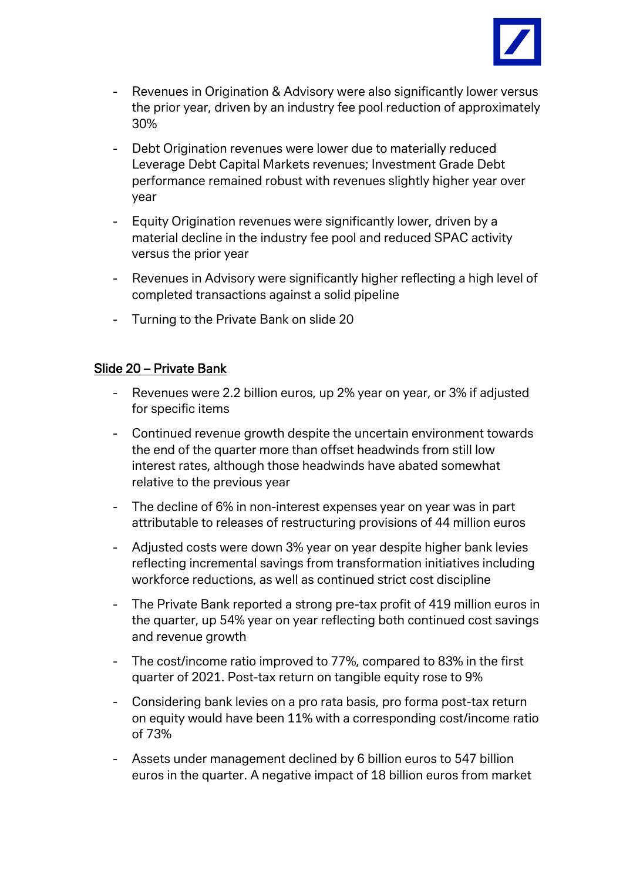

- Revenues in Origination & Advisory were also significantly lower versus the prior year, driven by an industry fee pool reduction of approximately 30%
- Debt Origination revenues were lower due to materially reduced Leverage Debt Capital Markets revenues; Investment Grade Debt performance remained robust with revenues slightly higher year over year
- Equity Origination revenues were significantly lower, driven by a material decline in the industry fee pool and reduced SPAC activity versus the prior year
- Revenues in Advisory were significantly higher reflecting a high level of completed transactions against a solid pipeline
- Turning to the Private Bank on slide 20

## Slide 20 – Private Bank

- Revenues were 2.2 billion euros, up 2% year on year, or 3% if adjusted for specific items
- Continued revenue growth despite the uncertain environment towards the end of the quarter more than offset headwinds from still low interest rates, although those headwinds have abated somewhat relative to the previous year
- The decline of 6% in non-interest expenses year on year was in part attributable to releases of restructuring provisions of 44 million euros
- Adjusted costs were down 3% year on year despite higher bank levies reflecting incremental savings from transformation initiatives including workforce reductions, as well as continued strict cost discipline
- The Private Bank reported a strong pre-tax profit of 419 million euros in the quarter, up 54% year on year reflecting both continued cost savings and revenue growth
- The cost/income ratio improved to 77%, compared to 83% in the first quarter of 2021. Post-tax return on tangible equity rose to 9%
- Considering bank levies on a pro rata basis, pro forma post-tax return on equity would have been 11% with a corresponding cost/income ratio of 73%
- Assets under management declined by 6 billion euros to 547 billion euros in the quarter. A negative impact of 18 billion euros from market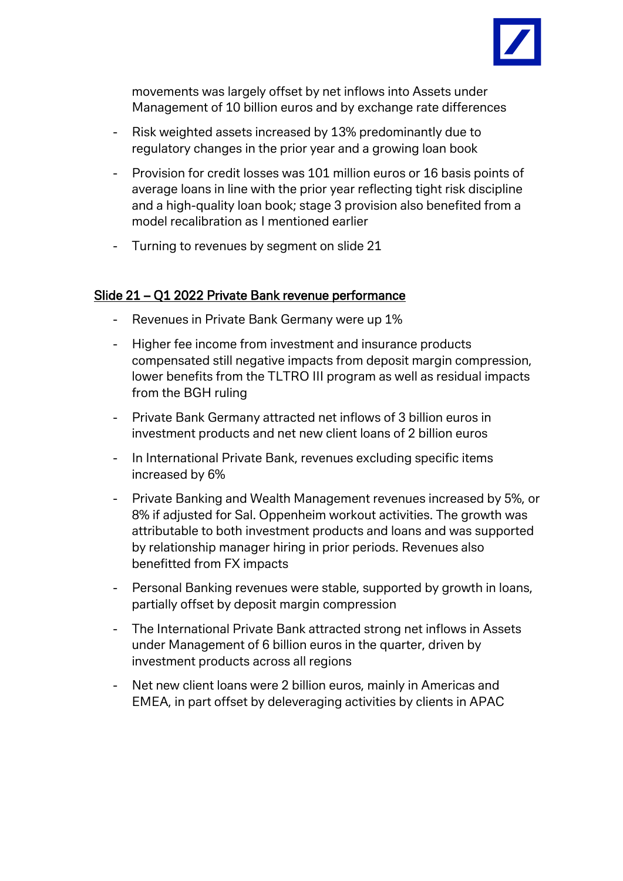

movements was largely offset by net inflows into Assets under Management of 10 billion euros and by exchange rate differences

- Risk weighted assets increased by 13% predominantly due to regulatory changes in the prior year and a growing loan book
- Provision for credit losses was 101 million euros or 16 basis points of average loans in line with the prior year reflecting tight risk discipline and a high-quality loan book; stage 3 provision also benefited from a model recalibration as I mentioned earlier
- Turning to revenues by segment on slide 21

### Slide 21 – Q1 2022 Private Bank revenue performance

- Revenues in Private Bank Germany were up 1%
- Higher fee income from investment and insurance products compensated still negative impacts from deposit margin compression, lower benefits from the TLTRO III program as well as residual impacts from the BGH ruling
- Private Bank Germany attracted net inflows of 3 billion euros in investment products and net new client loans of 2 billion euros
- In International Private Bank, revenues excluding specific items increased by 6%
- Private Banking and Wealth Management revenues increased by 5%, or 8% if adjusted for Sal. Oppenheim workout activities. The growth was attributable to both investment products and loans and was supported by relationship manager hiring in prior periods. Revenues also benefitted from FX impacts
- Personal Banking revenues were stable, supported by growth in loans, partially offset by deposit margin compression
- The International Private Bank attracted strong net inflows in Assets under Management of 6 billion euros in the quarter, driven by investment products across all regions
- Net new client loans were 2 billion euros, mainly in Americas and EMEA, in part offset by deleveraging activities by clients in APAC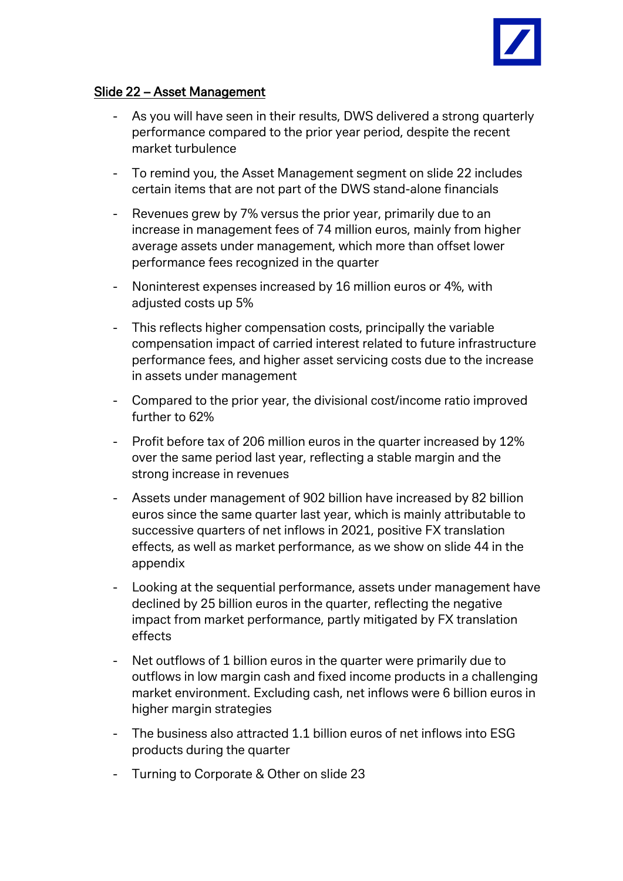

### Slide 22 – Asset Management

- As you will have seen in their results, DWS delivered a strong quarterly performance compared to the prior year period, despite the recent market turbulence
- To remind you, the Asset Management segment on slide 22 includes certain items that are not part of the DWS stand-alone financials
- Revenues grew by 7% versus the prior year, primarily due to an increase in management fees of 74 million euros, mainly from higher average assets under management, which more than offset lower performance fees recognized in the quarter
- Noninterest expenses increased by 16 million euros or 4%, with adjusted costs up 5%
- This reflects higher compensation costs, principally the variable compensation impact of carried interest related to future infrastructure performance fees, and higher asset servicing costs due to the increase in assets under management
- Compared to the prior year, the divisional cost/income ratio improved further to 62%
- Profit before tax of 206 million euros in the quarter increased by 12% over the same period last year, reflecting a stable margin and the strong increase in revenues
- Assets under management of 902 billion have increased by 82 billion euros since the same quarter last year, which is mainly attributable to successive quarters of net inflows in 2021, positive FX translation effects, as well as market performance, as we show on slide 44 in the appendix
- Looking at the sequential performance, assets under management have declined by 25 billion euros in the quarter, reflecting the negative impact from market performance, partly mitigated by FX translation effects
- Net outflows of 1 billion euros in the quarter were primarily due to outflows in low margin cash and fixed income products in a challenging market environment. Excluding cash, net inflows were 6 billion euros in higher margin strategies
- The business also attracted 1.1 billion euros of net inflows into ESG products during the quarter
- Turning to Corporate & Other on slide 23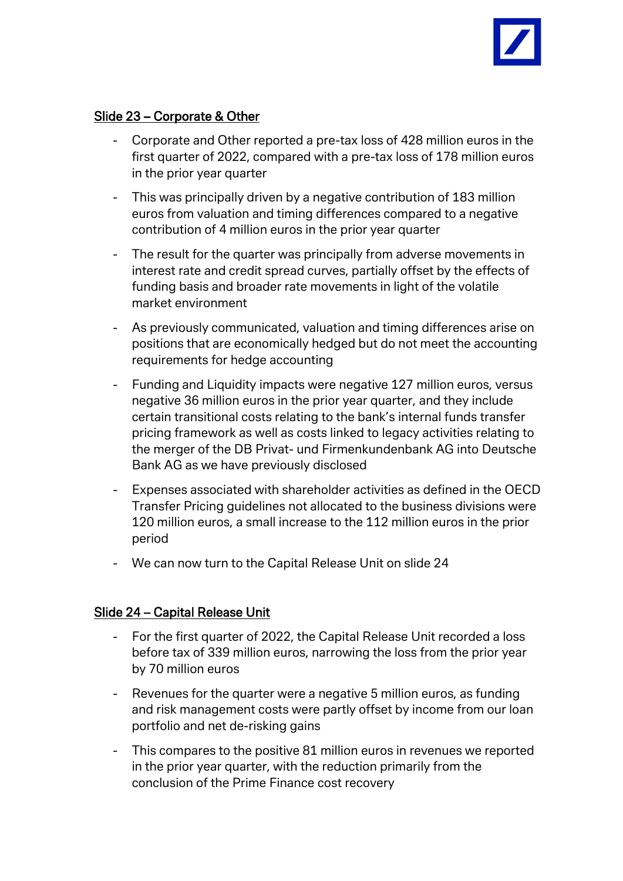

## Slide 23 – Corporate & Other

- Corporate and Other reported a pre-tax loss of 428 million euros in the first quarter of 2022, compared with a pre-tax loss of 178 million euros in the prior year quarter
- This was principally driven by a negative contribution of 183 million euros from valuation and timing differences compared to a negative contribution of 4 million euros in the prior year quarter
- The result for the quarter was principally from adverse movements in interest rate and credit spread curves, partially offset by the effects of funding basis and broader rate movements in light of the volatile market environment
- As previously communicated, valuation and timing differences arise on positions that are economically hedged but do not meet the accounting requirements for hedge accounting
- Funding and Liquidity impacts were negative 127 million euros, versus negative 36 million euros in the prior year quarter, and they include certain transitional costs relating to the bank's internal funds transfer pricing framework as well as costs linked to legacy activities relating to the merger of the DB Privat- und Firmenkundenbank AG into Deutsche Bank AG as we have previously disclosed
- Expenses associated with shareholder activities as defined in the OECD Transfer Pricing guidelines not allocated to the business divisions were 120 million euros, a small increase to the 112 million euros in the prior period
- We can now turn to the Capital Release Unit on slide 24

### Slide 24 – Capital Release Unit

- For the first quarter of 2022, the Capital Release Unit recorded a loss before tax of 339 million euros, narrowing the loss from the prior year by 70 million euros
- Revenues for the quarter were a negative 5 million euros, as funding and risk management costs were partly offset by income from our loan portfolio and net de-risking gains
- This compares to the positive 81 million euros in revenues we reported in the prior year quarter, with the reduction primarily from the conclusion of the Prime Finance cost recovery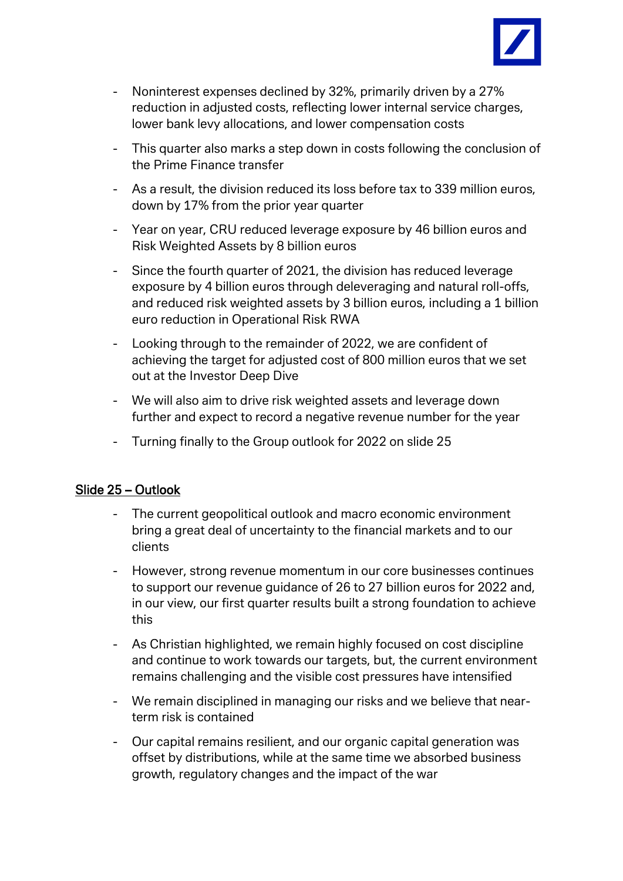

- Noninterest expenses declined by 32%, primarily driven by a 27% reduction in adjusted costs, reflecting lower internal service charges, lower bank levy allocations, and lower compensation costs
- This quarter also marks a step down in costs following the conclusion of the Prime Finance transfer
- As a result, the division reduced its loss before tax to 339 million euros, down by 17% from the prior year quarter
- Year on year, CRU reduced leverage exposure by 46 billion euros and Risk Weighted Assets by 8 billion euros
- Since the fourth quarter of 2021, the division has reduced leverage exposure by 4 billion euros through deleveraging and natural roll-offs, and reduced risk weighted assets by 3 billion euros, including a 1 billion euro reduction in Operational Risk RWA
- Looking through to the remainder of 2022, we are confident of achieving the target for adjusted cost of 800 million euros that we set out at the Investor Deep Dive
- We will also aim to drive risk weighted assets and leverage down further and expect to record a negative revenue number for the year
- Turning finally to the Group outlook for 2022 on slide 25

### Slide 25 – Outlook

- The current geopolitical outlook and macro economic environment bring a great deal of uncertainty to the financial markets and to our clients
- However, strong revenue momentum in our core businesses continues to support our revenue guidance of 26 to 27 billion euros for 2022 and, in our view, our first quarter results built a strong foundation to achieve this
- As Christian highlighted, we remain highly focused on cost discipline and continue to work towards our targets, but, the current environment remains challenging and the visible cost pressures have intensified
- We remain disciplined in managing our risks and we believe that nearterm risk is contained
- Our capital remains resilient, and our organic capital generation was offset by distributions, while at the same time we absorbed business growth, regulatory changes and the impact of the war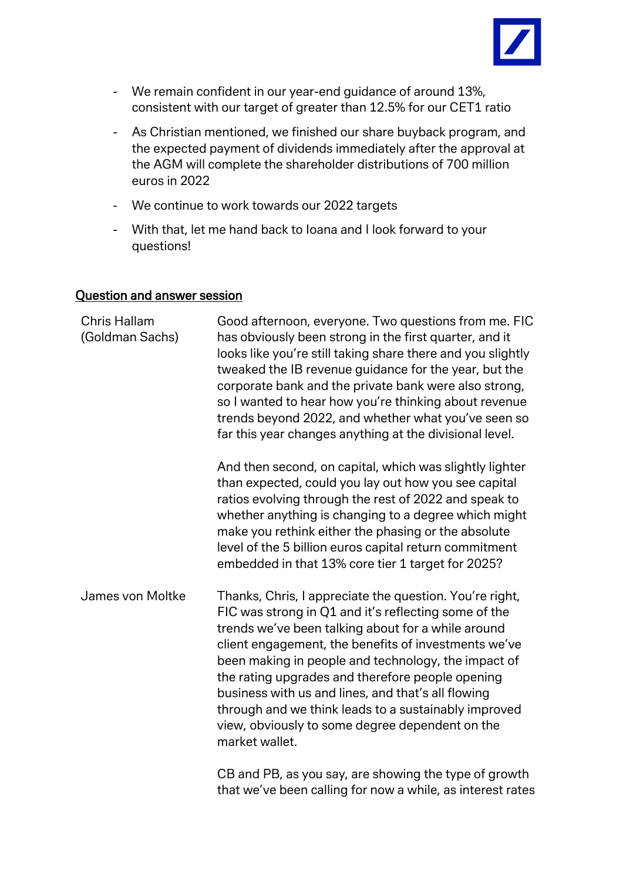

- We remain confident in our year-end guidance of around 13%, consistent with our target of greater than 12.5% for our CET1 ratio
- As Christian mentioned, we finished our share buyback program, and the expected payment of dividends immediately after the approval at the AGM will complete the shareholder distributions of 700 million euros in 2022
- We continue to work towards our 2022 targets
- With that, let me hand back to Ioana and I look forward to your questions!

### Question and answer session

| Chris Hallam<br>(Goldman Sachs) | Good afternoon, everyone. Two questions from me. FIC<br>has obviously been strong in the first quarter, and it<br>looks like you're still taking share there and you slightly<br>tweaked the IB revenue guidance for the year, but the<br>corporate bank and the private bank were also strong,<br>so I wanted to hear how you're thinking about revenue<br>trends beyond 2022, and whether what you've seen so<br>far this year changes anything at the divisional level.                                                  |
|---------------------------------|-----------------------------------------------------------------------------------------------------------------------------------------------------------------------------------------------------------------------------------------------------------------------------------------------------------------------------------------------------------------------------------------------------------------------------------------------------------------------------------------------------------------------------|
|                                 | And then second, on capital, which was slightly lighter<br>than expected, could you lay out how you see capital<br>ratios evolving through the rest of 2022 and speak to<br>whether anything is changing to a degree which might<br>make you rethink either the phasing or the absolute<br>level of the 5 billion euros capital return commitment<br>embedded in that 13% core tier 1 target for 2025?                                                                                                                      |
| James von Moltke                | Thanks, Chris, I appreciate the question. You're right,<br>FIC was strong in Q1 and it's reflecting some of the<br>trends we've been talking about for a while around<br>client engagement, the benefits of investments we've<br>been making in people and technology, the impact of<br>the rating upgrades and therefore people opening<br>business with us and lines, and that's all flowing<br>through and we think leads to a sustainably improved<br>view, obviously to some degree dependent on the<br>market wallet. |
|                                 | CB and PB, as you say, are showing the type of growth<br>that we've been calling for now a while, as interest rates                                                                                                                                                                                                                                                                                                                                                                                                         |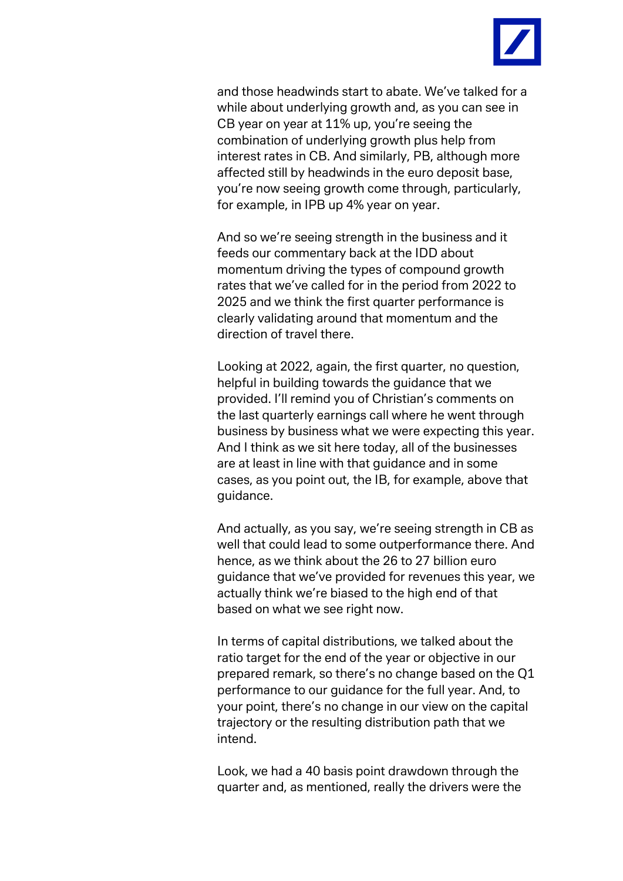

and those headwinds start to abate. We've talked for a while about underlying growth and, as you can see in CB year on year at 11% up, you're seeing the combination of underlying growth plus help from interest rates in CB. And similarly, PB, although more affected still by headwinds in the euro deposit base, you're now seeing growth come through, particularly, for example, in IPB up 4% year on year.

And so we're seeing strength in the business and it feeds our commentary back at the IDD about momentum driving the types of compound growth rates that we've called for in the period from 2022 to 2025 and we think the first quarter performance is clearly validating around that momentum and the direction of travel there.

Looking at 2022, again, the first quarter, no question, helpful in building towards the guidance that we provided. I'll remind you of Christian's comments on the last quarterly earnings call where he went through business by business what we were expecting this year. And I think as we sit here today, all of the businesses are at least in line with that guidance and in some cases, as you point out, the IB, for example, above that guidance.

And actually, as you say, we're seeing strength in CB as well that could lead to some outperformance there. And hence, as we think about the 26 to 27 billion euro guidance that we've provided for revenues this year, we actually think we're biased to the high end of that based on what we see right now.

In terms of capital distributions, we talked about the ratio target for the end of the year or objective in our prepared remark, so there's no change based on the Q1 performance to our guidance for the full year. And, to your point, there's no change in our view on the capital trajectory or the resulting distribution path that we intend.

Look, we had a 40 basis point drawdown through the quarter and, as mentioned, really the drivers were the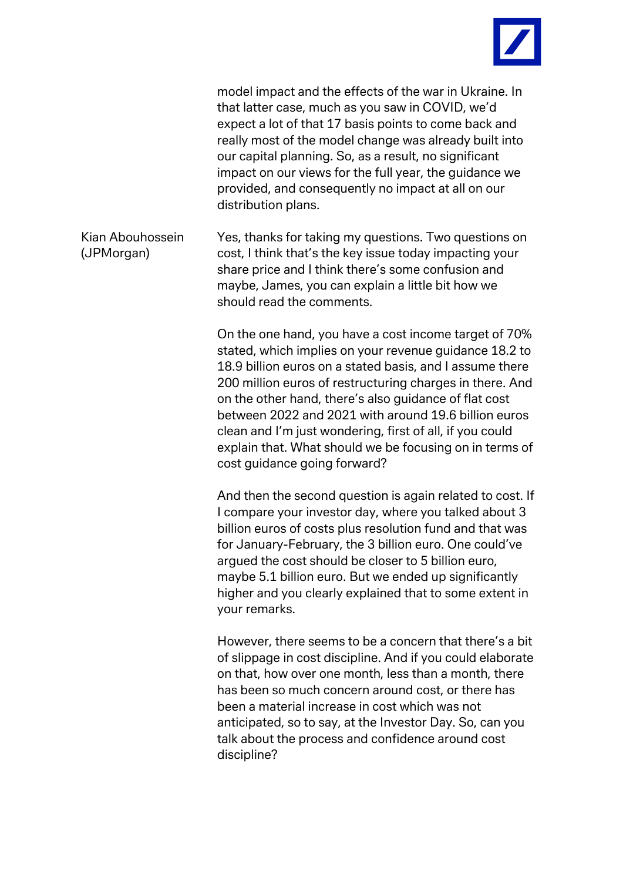

model impact and the effects of the war in Ukraine. In that latter case, much as you saw in COVID, we'd expect a lot of that 17 basis points to come back and really most of the model change was already built into our capital planning. So, as a result, no significant impact on our views for the full year, the guidance we provided, and consequently no impact at all on our distribution plans.

Kian Abouhossein (JPMorgan) Yes, thanks for taking my questions. Two questions on cost, I think that's the key issue today impacting your share price and I think there's some confusion and maybe, James, you can explain a little bit how we should read the comments.

> On the one hand, you have a cost income target of 70% stated, which implies on your revenue guidance 18.2 to 18.9 billion euros on a stated basis, and I assume there 200 million euros of restructuring charges in there. And on the other hand, there's also guidance of flat cost between 2022 and 2021 with around 19.6 billion euros clean and I'm just wondering, first of all, if you could explain that. What should we be focusing on in terms of cost guidance going forward?

> And then the second question is again related to cost. If I compare your investor day, where you talked about 3 billion euros of costs plus resolution fund and that was for January-February, the 3 billion euro. One could've argued the cost should be closer to 5 billion euro, maybe 5.1 billion euro. But we ended up significantly higher and you clearly explained that to some extent in your remarks.

> However, there seems to be a concern that there's a bit of slippage in cost discipline. And if you could elaborate on that, how over one month, less than a month, there has been so much concern around cost, or there has been a material increase in cost which was not anticipated, so to say, at the Investor Day. So, can you talk about the process and confidence around cost discipline?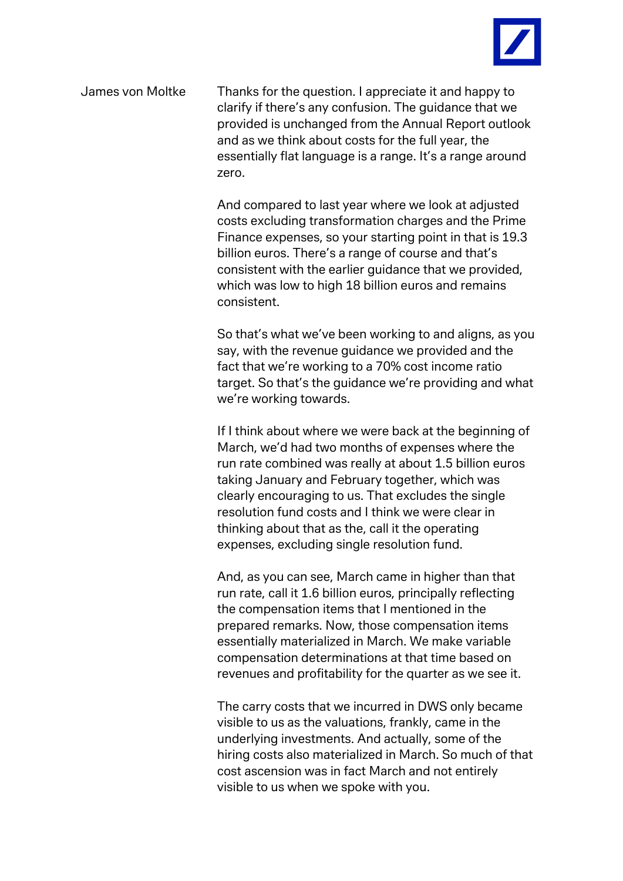

James von Moltke Thanks for the question. I appreciate it and happy to clarify if there's any confusion. The guidance that we provided is unchanged from the Annual Report outlook and as we think about costs for the full year, the essentially flat language is a range. It's a range around zero.

> And compared to last year where we look at adjusted costs excluding transformation charges and the Prime Finance expenses, so your starting point in that is 19.3 billion euros. There's a range of course and that's consistent with the earlier guidance that we provided, which was low to high 18 billion euros and remains consistent.

So that's what we've been working to and aligns, as you say, with the revenue guidance we provided and the fact that we're working to a 70% cost income ratio target. So that's the guidance we're providing and what we're working towards.

If I think about where we were back at the beginning of March, we'd had two months of expenses where the run rate combined was really at about 1.5 billion euros taking January and February together, which was clearly encouraging to us. That excludes the single resolution fund costs and I think we were clear in thinking about that as the, call it the operating expenses, excluding single resolution fund.

And, as you can see, March came in higher than that run rate, call it 1.6 billion euros, principally reflecting the compensation items that I mentioned in the prepared remarks. Now, those compensation items essentially materialized in March. We make variable compensation determinations at that time based on revenues and profitability for the quarter as we see it.

The carry costs that we incurred in DWS only became visible to us as the valuations, frankly, came in the underlying investments. And actually, some of the hiring costs also materialized in March. So much of that cost ascension was in fact March and not entirely visible to us when we spoke with you.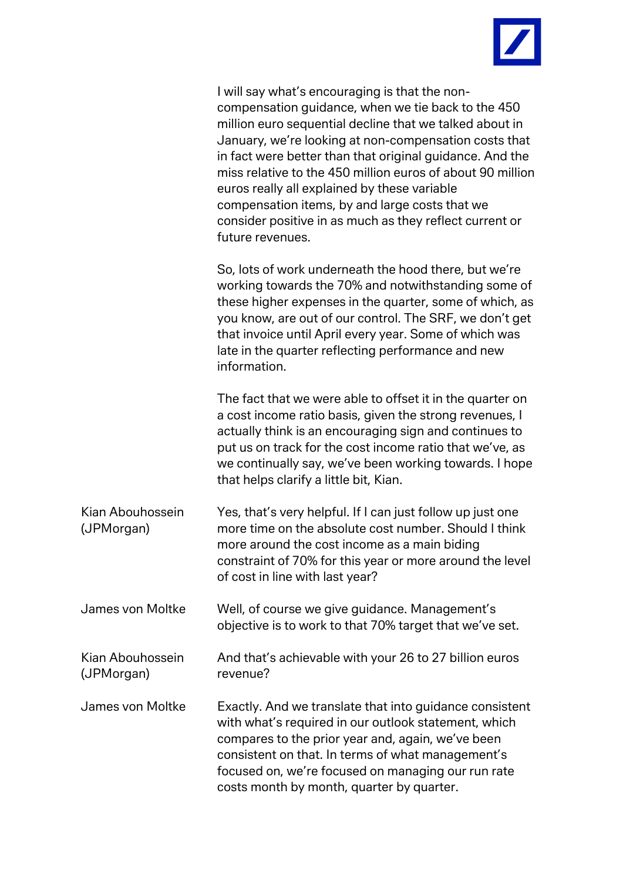

|                                | I will say what's encouraging is that the non-<br>compensation guidance, when we tie back to the 450<br>million euro sequential decline that we talked about in<br>January, we're looking at non-compensation costs that<br>in fact were better than that original guidance. And the<br>miss relative to the 450 million euros of about 90 million<br>euros really all explained by these variable<br>compensation items, by and large costs that we<br>consider positive in as much as they reflect current or<br>future revenues. |
|--------------------------------|-------------------------------------------------------------------------------------------------------------------------------------------------------------------------------------------------------------------------------------------------------------------------------------------------------------------------------------------------------------------------------------------------------------------------------------------------------------------------------------------------------------------------------------|
|                                | So, lots of work underneath the hood there, but we're<br>working towards the 70% and notwithstanding some of<br>these higher expenses in the quarter, some of which, as<br>you know, are out of our control. The SRF, we don't get<br>that invoice until April every year. Some of which was<br>late in the quarter reflecting performance and new<br>information.                                                                                                                                                                  |
|                                | The fact that we were able to offset it in the quarter on<br>a cost income ratio basis, given the strong revenues, I<br>actually think is an encouraging sign and continues to<br>put us on track for the cost income ratio that we've, as<br>we continually say, we've been working towards. I hope<br>that helps clarify a little bit, Kian.                                                                                                                                                                                      |
| Kian Abouhossein<br>(JPMorgan) | Yes, that's very helpful. If I can just follow up just one<br>more time on the absolute cost number. Should I think<br>more around the cost income as a main biding<br>constraint of 70% for this year or more around the level<br>of cost in line with last year?                                                                                                                                                                                                                                                                  |
| James von Moltke               | Well, of course we give guidance. Management's<br>objective is to work to that 70% target that we've set.                                                                                                                                                                                                                                                                                                                                                                                                                           |
| Kian Abouhossein<br>(JPMorgan) | And that's achievable with your 26 to 27 billion euros<br>revenue?                                                                                                                                                                                                                                                                                                                                                                                                                                                                  |
| James von Moltke               | Exactly. And we translate that into guidance consistent<br>with what's required in our outlook statement, which<br>compares to the prior year and, again, we've been<br>consistent on that. In terms of what management's<br>focused on, we're focused on managing our run rate<br>costs month by month, quarter by quarter.                                                                                                                                                                                                        |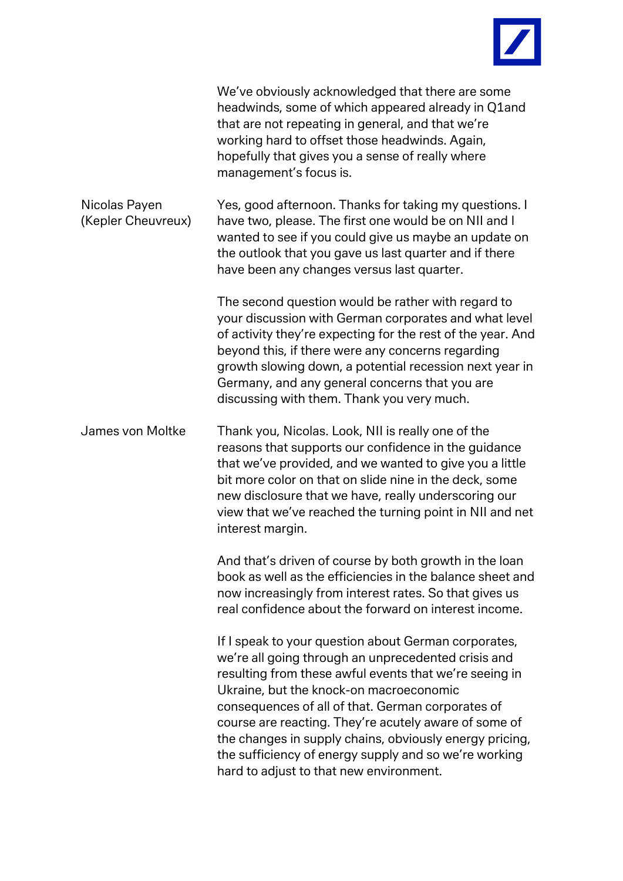

|                                     | We've obviously acknowledged that there are some<br>headwinds, some of which appeared already in Q1and<br>that are not repeating in general, and that we're<br>working hard to offset those headwinds. Again,<br>hopefully that gives you a sense of really where<br>management's focus is.                                                                                                                                                                                                   |
|-------------------------------------|-----------------------------------------------------------------------------------------------------------------------------------------------------------------------------------------------------------------------------------------------------------------------------------------------------------------------------------------------------------------------------------------------------------------------------------------------------------------------------------------------|
| Nicolas Payen<br>(Kepler Cheuvreux) | Yes, good afternoon. Thanks for taking my questions. I<br>have two, please. The first one would be on NII and I<br>wanted to see if you could give us maybe an update on<br>the outlook that you gave us last quarter and if there<br>have been any changes versus last quarter.                                                                                                                                                                                                              |
|                                     | The second question would be rather with regard to<br>your discussion with German corporates and what level<br>of activity they're expecting for the rest of the year. And<br>beyond this, if there were any concerns regarding<br>growth slowing down, a potential recession next year in<br>Germany, and any general concerns that you are<br>discussing with them. Thank you very much.                                                                                                    |
| James von Moltke                    | Thank you, Nicolas. Look, NII is really one of the<br>reasons that supports our confidence in the guidance<br>that we've provided, and we wanted to give you a little<br>bit more color on that on slide nine in the deck, some<br>new disclosure that we have, really underscoring our<br>view that we've reached the turning point in NII and net<br>interest margin.                                                                                                                       |
|                                     | And that's driven of course by both growth in the loan<br>book as well as the efficiencies in the balance sheet and<br>now increasingly from interest rates. So that gives us<br>real confidence about the forward on interest income.                                                                                                                                                                                                                                                        |
|                                     | If I speak to your question about German corporates,<br>we're all going through an unprecedented crisis and<br>resulting from these awful events that we're seeing in<br>Ukraine, but the knock-on macroeconomic<br>consequences of all of that. German corporates of<br>course are reacting. They're acutely aware of some of<br>the changes in supply chains, obviously energy pricing,<br>the sufficiency of energy supply and so we're working<br>hard to adjust to that new environment. |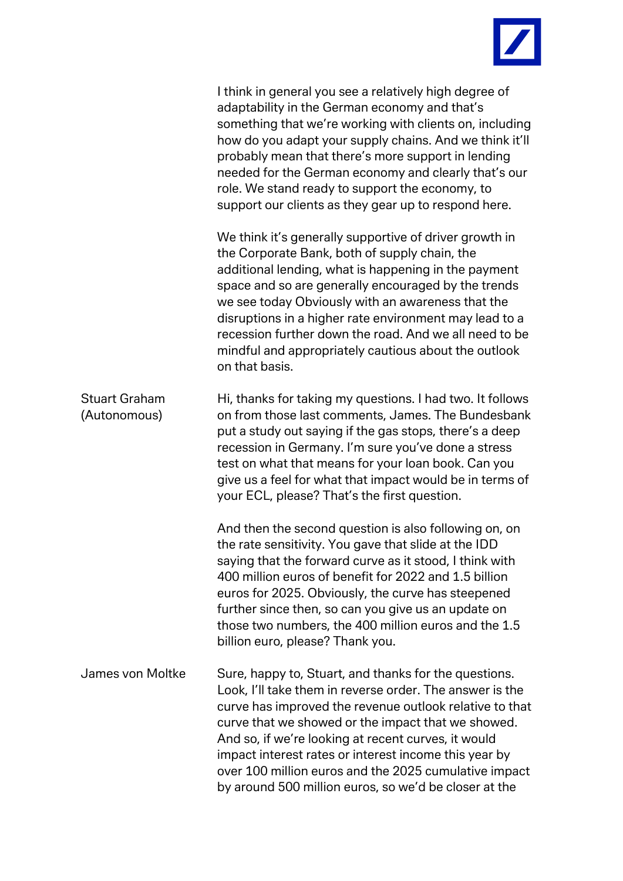

| I think in general you see a relatively high degree of  |
|---------------------------------------------------------|
| adaptability in the German economy and that's           |
| something that we're working with clients on, including |
| how do you adapt your supply chains. And we think it'll |
| probably mean that there's more support in lending      |
| needed for the German economy and clearly that's our    |
| role. We stand ready to support the economy, to         |
| support our clients as they gear up to respond here.    |

We think it's generally supportive of driver growth in the Corporate Bank, both of supply chain, the additional lending, what is happening in the payment space and so are generally encouraged by the trends we see today Obviously with an awareness that the disruptions in a higher rate environment may lead to a recession further down the road. And we all need to be mindful and appropriately cautious about the outlook on that basis.

| <b>Stuart Graham</b> | Hi, thanks for taking my questions. I had two. It follows |
|----------------------|-----------------------------------------------------------|
| (Autonomous)         | on from those last comments, James. The Bundesbank        |
|                      | put a study out saying if the gas stops, there's a deep   |
|                      | recession in Germany. I'm sure you've done a stress       |
|                      | test on what that means for your loan book. Can you       |
|                      | give us a feel for what that impact would be in terms of  |
|                      | your ECL, please? That's the first question.              |

And then the second question is also following on, on the rate sensitivity. You gave that slide at the IDD saying that the forward curve as it stood, I think with 400 million euros of benefit for 2022 and 1.5 billion euros for 2025. Obviously, the curve has steepened further since then, so can you give us an update on those two numbers, the 400 million euros and the 1.5 billion euro, please? Thank you.

James von Moltke Sure, happy to, Stuart, and thanks for the questions. Look, I'll take them in reverse order. The answer is the curve has improved the revenue outlook relative to that curve that we showed or the impact that we showed. And so, if we're looking at recent curves, it would impact interest rates or interest income this year by over 100 million euros and the 2025 cumulative impact by around 500 million euros, so we'd be closer at the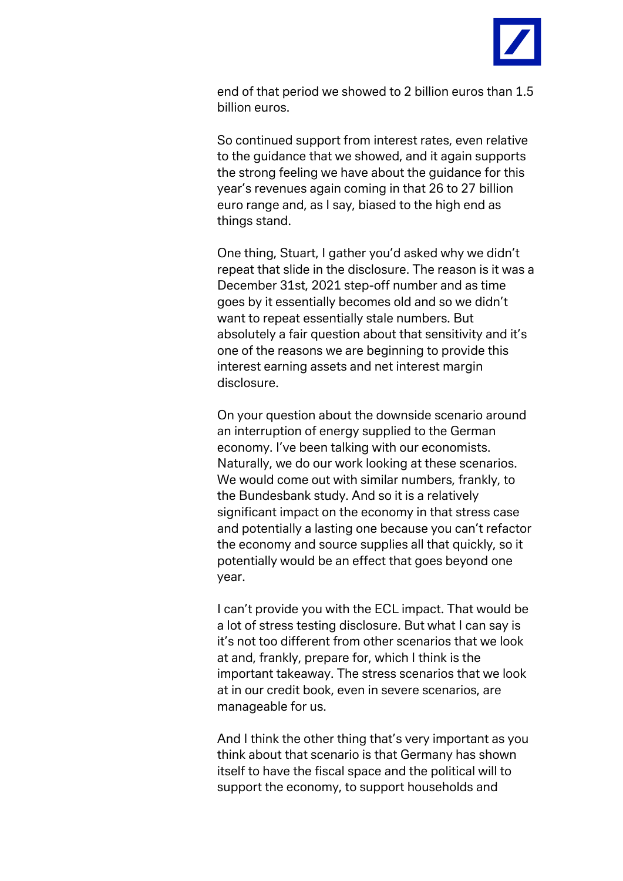

end of that period we showed to 2 billion euros than 1.5 billion euros.

So continued support from interest rates, even relative to the guidance that we showed, and it again supports the strong feeling we have about the guidance for this year's revenues again coming in that 26 to 27 billion euro range and, as I say, biased to the high end as things stand.

One thing, Stuart, I gather you'd asked why we didn't repeat that slide in the disclosure. The reason is it was a December 31st, 2021 step-off number and as time goes by it essentially becomes old and so we didn't want to repeat essentially stale numbers. But absolutely a fair question about that sensitivity and it's one of the reasons we are beginning to provide this interest earning assets and net interest margin disclosure.

On your question about the downside scenario around an interruption of energy supplied to the German economy. I've been talking with our economists. Naturally, we do our work looking at these scenarios. We would come out with similar numbers, frankly, to the Bundesbank study. And so it is a relatively significant impact on the economy in that stress case and potentially a lasting one because you can't refactor the economy and source supplies all that quickly, so it potentially would be an effect that goes beyond one year.

I can't provide you with the ECL impact. That would be a lot of stress testing disclosure. But what I can say is it's not too different from other scenarios that we look at and, frankly, prepare for, which I think is the important takeaway. The stress scenarios that we look at in our credit book, even in severe scenarios, are manageable for us.

And I think the other thing that's very important as you think about that scenario is that Germany has shown itself to have the fiscal space and the political will to support the economy, to support households and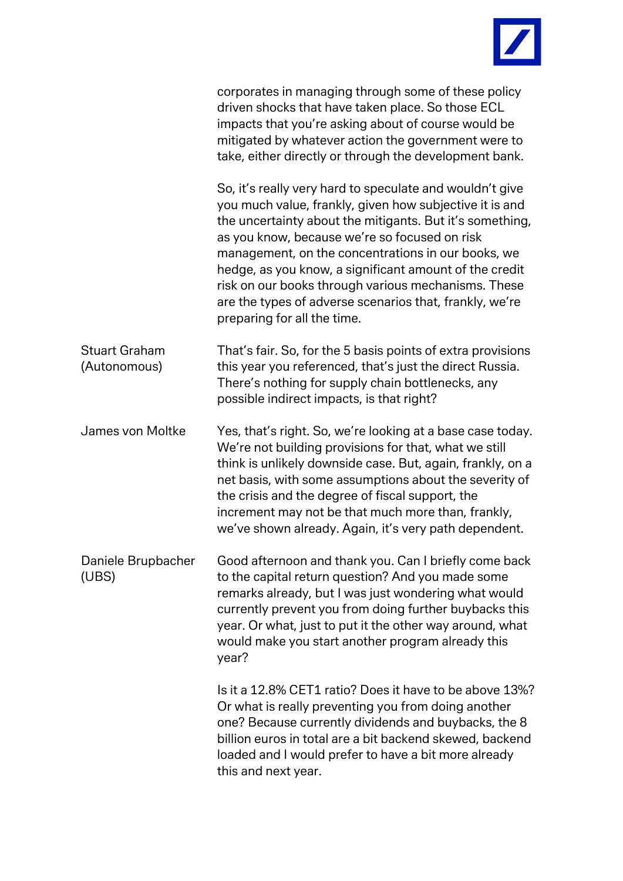

|                                      | corporates in managing through some of these policy<br>driven shocks that have taken place. So those ECL<br>impacts that you're asking about of course would be<br>mitigated by whatever action the government were to<br>take, either directly or through the development bank.                                                                                                                                                                                                                  |
|--------------------------------------|---------------------------------------------------------------------------------------------------------------------------------------------------------------------------------------------------------------------------------------------------------------------------------------------------------------------------------------------------------------------------------------------------------------------------------------------------------------------------------------------------|
|                                      | So, it's really very hard to speculate and wouldn't give<br>you much value, frankly, given how subjective it is and<br>the uncertainty about the mitigants. But it's something,<br>as you know, because we're so focused on risk<br>management, on the concentrations in our books, we<br>hedge, as you know, a significant amount of the credit<br>risk on our books through various mechanisms. These<br>are the types of adverse scenarios that, frankly, we're<br>preparing for all the time. |
| <b>Stuart Graham</b><br>(Autonomous) | That's fair. So, for the 5 basis points of extra provisions<br>this year you referenced, that's just the direct Russia.<br>There's nothing for supply chain bottlenecks, any<br>possible indirect impacts, is that right?                                                                                                                                                                                                                                                                         |
| James von Moltke                     | Yes, that's right. So, we're looking at a base case today.<br>We're not building provisions for that, what we still<br>think is unlikely downside case. But, again, frankly, on a<br>net basis, with some assumptions about the severity of<br>the crisis and the degree of fiscal support, the<br>increment may not be that much more than, frankly,<br>we've shown already. Again, it's very path dependent.                                                                                    |
| Daniele Brupbacher<br>(UBS)          | Good afternoon and thank you. Can I briefly come back<br>to the capital return question? And you made some<br>remarks already, but I was just wondering what would<br>currently prevent you from doing further buybacks this<br>year. Or what, just to put it the other way around, what<br>would make you start another program already this<br>year?                                                                                                                                            |
|                                      | Is it a 12.8% CET1 ratio? Does it have to be above 13%?<br>Or what is really preventing you from doing another<br>one? Because currently dividends and buybacks, the 8<br>billion euros in total are a bit backend skewed, backend<br>loaded and I would prefer to have a bit more already<br>this and next year.                                                                                                                                                                                 |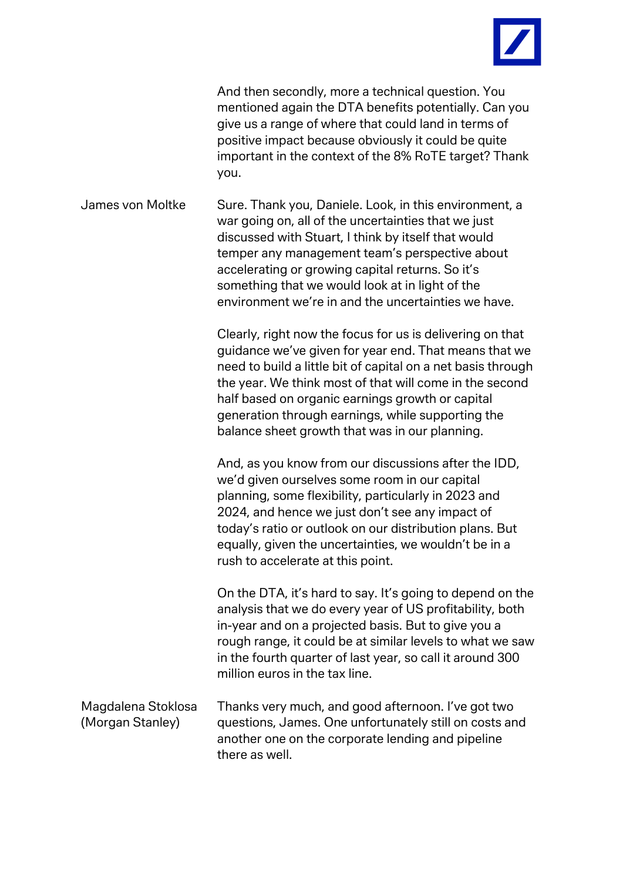

And then secondly, more a technical question. You mentioned again the DTA benefits potentially. Can you give us a range of where that could land in terms of positive impact because obviously it could be quite important in the context of the 8% RoTE target? Thank you.

James von Moltke Sure. Thank you, Daniele. Look, in this environment, a war going on, all of the uncertainties that we just discussed with Stuart, I think by itself that would temper any management team's perspective about accelerating or growing capital returns. So it's something that we would look at in light of the environment we're in and the uncertainties we have.

> Clearly, right now the focus for us is delivering on that guidance we've given for year end. That means that we need to build a little bit of capital on a net basis through the year. We think most of that will come in the second half based on organic earnings growth or capital generation through earnings, while supporting the balance sheet growth that was in our planning.

And, as you know from our discussions after the IDD, we'd given ourselves some room in our capital planning, some flexibility, particularly in 2023 and 2024, and hence we just don't see any impact of today's ratio or outlook on our distribution plans. But equally, given the uncertainties, we wouldn't be in a rush to accelerate at this point.

On the DTA, it's hard to say. It's going to depend on the analysis that we do every year of US profitability, both in-year and on a projected basis. But to give you a rough range, it could be at similar levels to what we saw in the fourth quarter of last year, so call it around 300 million euros in the tax line.

| Magdalena Stoklosa | Thanks very much, and good afternoon. I've got two     |
|--------------------|--------------------------------------------------------|
| (Morgan Stanley)   | questions, James. One unfortunately still on costs and |
|                    | another one on the corporate lending and pipeline      |
|                    | there as well.                                         |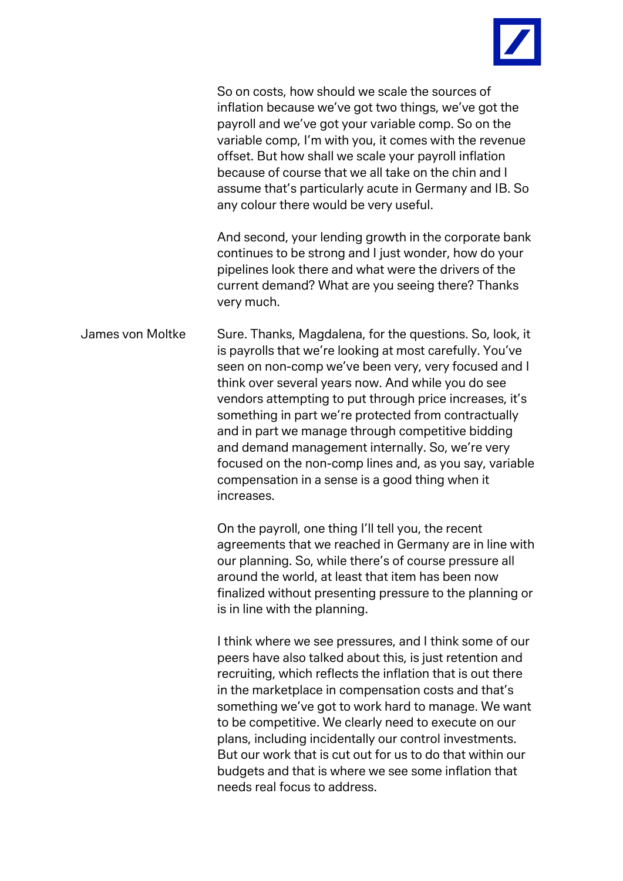

So on costs, how should we scale the sources of inflation because we've got two things, we've got the payroll and we've got your variable comp. So on the variable comp, I'm with you, it comes with the revenue offset. But how shall we scale your payroll inflation because of course that we all take on the chin and I assume that's particularly acute in Germany and IB. So any colour there would be very useful.

And second, your lending growth in the corporate bank continues to be strong and I just wonder, how do your pipelines look there and what were the drivers of the current demand? What are you seeing there? Thanks very much.

James von Moltke Sure. Thanks, Magdalena, for the questions. So, look, it is payrolls that we're looking at most carefully. You've seen on non-comp we've been very, very focused and I think over several years now. And while you do see vendors attempting to put through price increases, it's something in part we're protected from contractually and in part we manage through competitive bidding and demand management internally. So, we're very focused on the non-comp lines and, as you say, variable compensation in a sense is a good thing when it increases.

> On the payroll, one thing I'll tell you, the recent agreements that we reached in Germany are in line with our planning. So, while there's of course pressure all around the world, at least that item has been now finalized without presenting pressure to the planning or is in line with the planning.

> I think where we see pressures, and I think some of our peers have also talked about this, is just retention and recruiting, which reflects the inflation that is out there in the marketplace in compensation costs and that's something we've got to work hard to manage. We want to be competitive. We clearly need to execute on our plans, including incidentally our control investments. But our work that is cut out for us to do that within our budgets and that is where we see some inflation that needs real focus to address.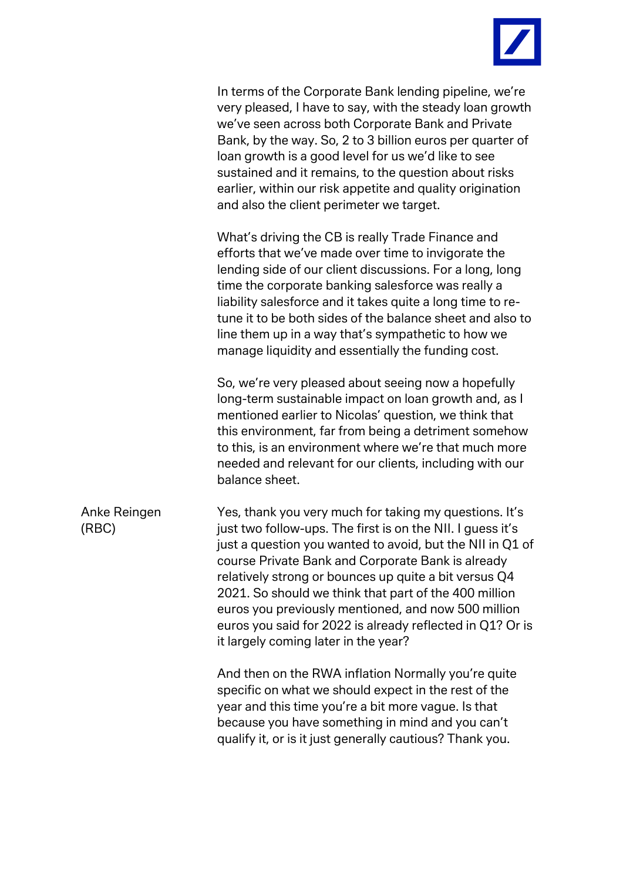

In terms of the Corporate Bank lending pipeline, we're very pleased, I have to say, with the steady loan growth we've seen across both Corporate Bank and Private Bank, by the way. So, 2 to 3 billion euros per quarter of loan growth is a good level for us we'd like to see sustained and it remains, to the question about risks earlier, within our risk appetite and quality origination and also the client perimeter we target.

What's driving the CB is really Trade Finance and efforts that we've made over time to invigorate the lending side of our client discussions. For a long, long time the corporate banking salesforce was really a liability salesforce and it takes quite a long time to retune it to be both sides of the balance sheet and also to line them up in a way that's sympathetic to how we manage liquidity and essentially the funding cost.

So, we're very pleased about seeing now a hopefully long-term sustainable impact on loan growth and, as I mentioned earlier to Nicolas' question, we think that this environment, far from being a detriment somehow to this, is an environment where we're that much more needed and relevant for our clients, including with our balance sheet.

Anke Reingen (RBC) Yes, thank you very much for taking my questions. It's just two follow-ups. The first is on the NII. I guess it's just a question you wanted to avoid, but the NII in Q1 of course Private Bank and Corporate Bank is already relatively strong or bounces up quite a bit versus Q4 2021. So should we think that part of the 400 million euros you previously mentioned, and now 500 million euros you said for 2022 is already reflected in Q1? Or is it largely coming later in the year?

> And then on the RWA inflation Normally you're quite specific on what we should expect in the rest of the year and this time you're a bit more vague. Is that because you have something in mind and you can't qualify it, or is it just generally cautious? Thank you.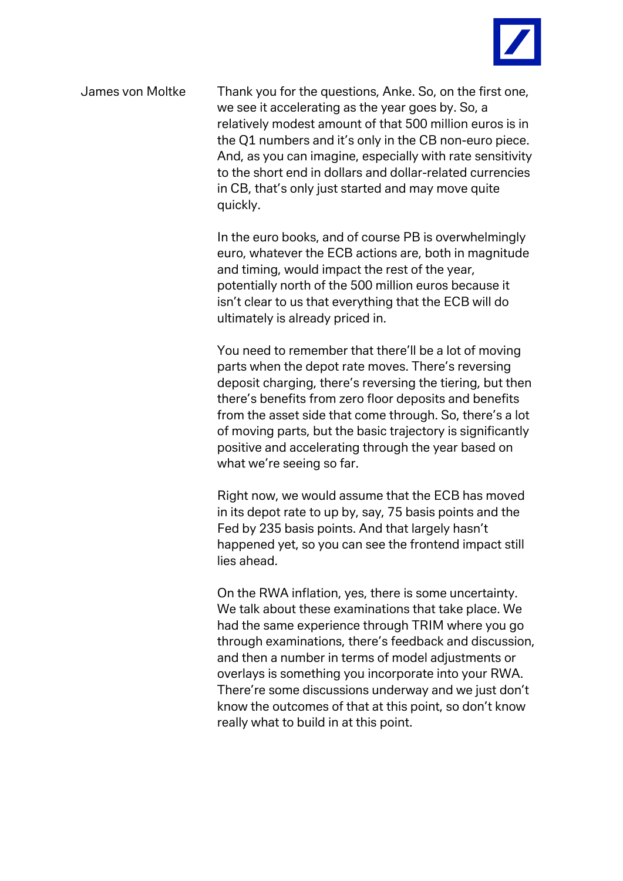

James von Moltke Thank you for the questions, Anke. So, on the first one, we see it accelerating as the year goes by. So, a relatively modest amount of that 500 million euros is in the Q1 numbers and it's only in the CB non-euro piece. And, as you can imagine, especially with rate sensitivity to the short end in dollars and dollar-related currencies in CB, that's only just started and may move quite quickly.

> In the euro books, and of course PB is overwhelmingly euro, whatever the ECB actions are, both in magnitude and timing, would impact the rest of the year, potentially north of the 500 million euros because it isn't clear to us that everything that the ECB will do ultimately is already priced in.

> You need to remember that there'll be a lot of moving parts when the depot rate moves. There's reversing deposit charging, there's reversing the tiering, but then there's benefits from zero floor deposits and benefits from the asset side that come through. So, there's a lot of moving parts, but the basic trajectory is significantly positive and accelerating through the year based on what we're seeing so far.

Right now, we would assume that the ECB has moved in its depot rate to up by, say, 75 basis points and the Fed by 235 basis points. And that largely hasn't happened yet, so you can see the frontend impact still lies ahead.

On the RWA inflation, yes, there is some uncertainty. We talk about these examinations that take place. We had the same experience through TRIM where you go through examinations, there's feedback and discussion, and then a number in terms of model adjustments or overlays is something you incorporate into your RWA. There're some discussions underway and we just don't know the outcomes of that at this point, so don't know really what to build in at this point.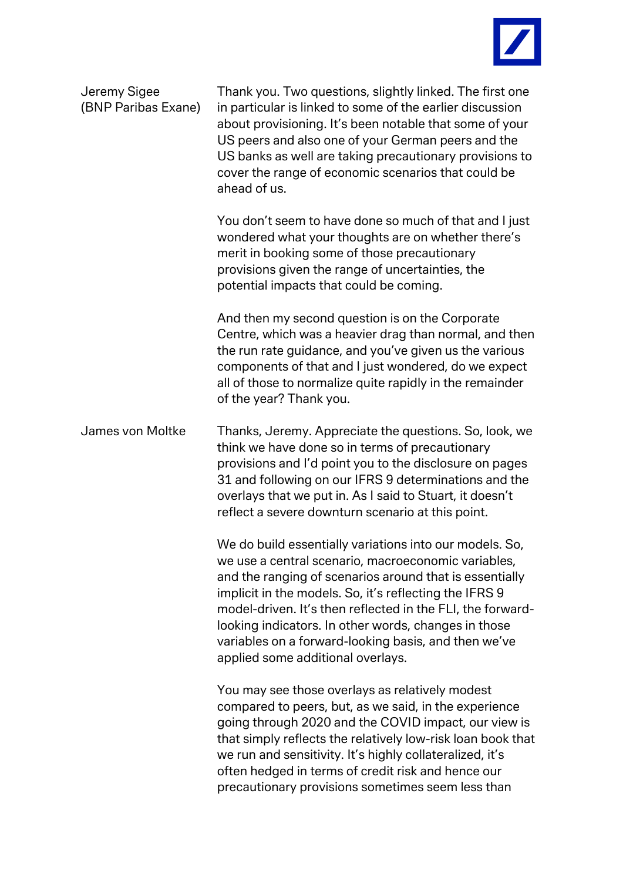

| Jeremy Sigee<br>(BNP Paribas Exane) | Thank you. Two questions, slightly linked. The first one<br>in particular is linked to some of the earlier discussion<br>about provisioning. It's been notable that some of your<br>US peers and also one of your German peers and the<br>US banks as well are taking precautionary provisions to<br>cover the range of economic scenarios that could be<br>ahead of us.                                                                               |
|-------------------------------------|--------------------------------------------------------------------------------------------------------------------------------------------------------------------------------------------------------------------------------------------------------------------------------------------------------------------------------------------------------------------------------------------------------------------------------------------------------|
|                                     | You don't seem to have done so much of that and I just<br>wondered what your thoughts are on whether there's<br>merit in booking some of those precautionary<br>provisions given the range of uncertainties, the<br>potential impacts that could be coming.                                                                                                                                                                                            |
|                                     | And then my second question is on the Corporate<br>Centre, which was a heavier drag than normal, and then<br>the run rate guidance, and you've given us the various<br>components of that and I just wondered, do we expect<br>all of those to normalize quite rapidly in the remainder<br>of the year? Thank you.                                                                                                                                     |
| James von Moltke                    | Thanks, Jeremy. Appreciate the questions. So, look, we<br>think we have done so in terms of precautionary<br>provisions and I'd point you to the disclosure on pages<br>31 and following on our IFRS 9 determinations and the<br>overlays that we put in. As I said to Stuart, it doesn't<br>reflect a severe downturn scenario at this point.                                                                                                         |
|                                     | We do build essentially variations into our models. So,<br>we use a central scenario, macroeconomic variables,<br>and the ranging of scenarios around that is essentially<br>implicit in the models. So, it's reflecting the IFRS 9<br>model-driven. It's then reflected in the FLI, the forward-<br>looking indicators. In other words, changes in those<br>variables on a forward-looking basis, and then we've<br>applied some additional overlays. |
|                                     | You may see those overlays as relatively modest<br>compared to peers, but, as we said, in the experience<br>going through 2020 and the COVID impact, our view is<br>that simply reflects the relatively low-risk loan book that<br>we run and sensitivity. It's highly collateralized, it's<br>often hedged in terms of credit risk and hence our<br>precautionary provisions sometimes seem less than                                                 |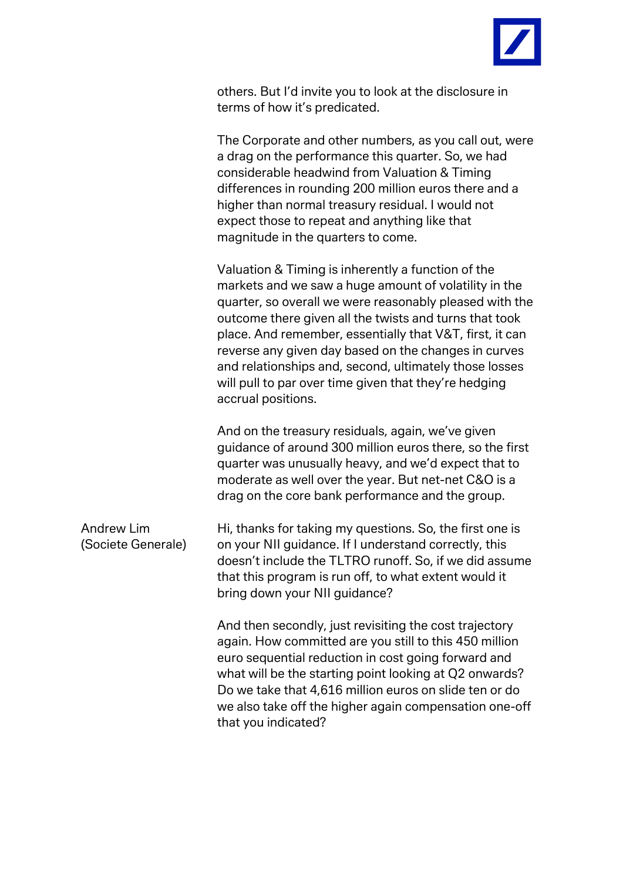

others. But I'd invite you to look at the disclosure in terms of how it's predicated.

The Corporate and other numbers, as you call out, were a drag on the performance this quarter. So, we had considerable headwind from Valuation & Timing differences in rounding 200 million euros there and a higher than normal treasury residual. I would not expect those to repeat and anything like that magnitude in the quarters to come.

Valuation & Timing is inherently a function of the markets and we saw a huge amount of volatility in the quarter, so overall we were reasonably pleased with the outcome there given all the twists and turns that took place. And remember, essentially that V&T, first, it can reverse any given day based on the changes in curves and relationships and, second, ultimately those losses will pull to par over time given that they're hedging accrual positions.

And on the treasury residuals, again, we've given guidance of around 300 million euros there, so the first quarter was unusually heavy, and we'd expect that to moderate as well over the year. But net-net C&O is a drag on the core bank performance and the group.

| Hi, thanks for taking my questions. So, the first one is |
|----------------------------------------------------------|
| on your NII guidance. If I understand correctly, this    |
| doesn't include the TLTRO runoff. So, if we did assume   |
| that this program is run off, to what extent would it    |
| bring down your NII guidance?                            |
|                                                          |

And then secondly, just revisiting the cost trajectory again. How committed are you still to this 450 million euro sequential reduction in cost going forward and what will be the starting point looking at Q2 onwards? Do we take that 4,616 million euros on slide ten or do we also take off the higher again compensation one-off that you indicated?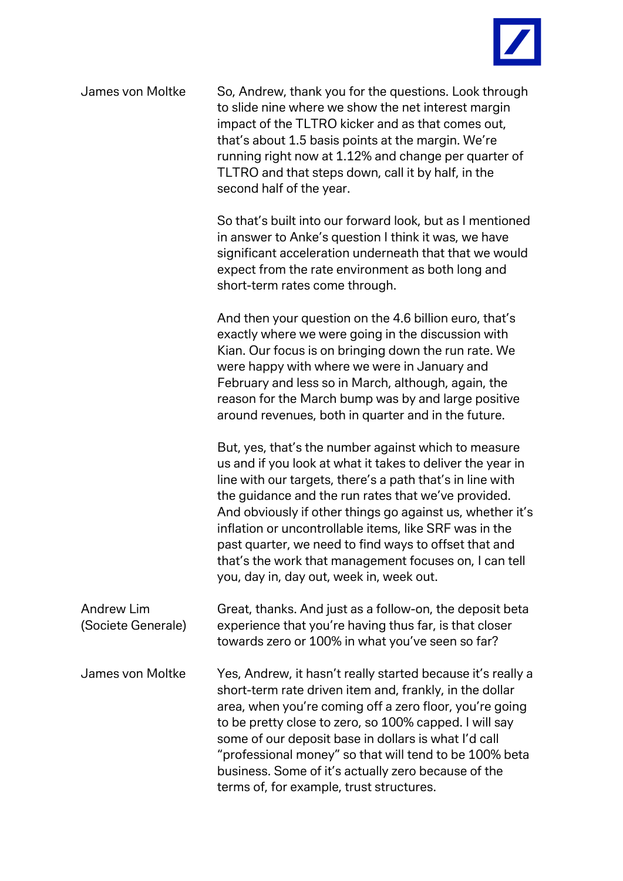

| James von Moltke                        | So, Andrew, thank you for the questions. Look through<br>to slide nine where we show the net interest margin<br>impact of the TLTRO kicker and as that comes out,<br>that's about 1.5 basis points at the margin. We're<br>running right now at 1.12% and change per quarter of<br>TLTRO and that steps down, call it by half, in the<br>second half of the year.                                                                                                                                                            |
|-----------------------------------------|------------------------------------------------------------------------------------------------------------------------------------------------------------------------------------------------------------------------------------------------------------------------------------------------------------------------------------------------------------------------------------------------------------------------------------------------------------------------------------------------------------------------------|
|                                         | So that's built into our forward look, but as I mentioned<br>in answer to Anke's question I think it was, we have<br>significant acceleration underneath that that we would<br>expect from the rate environment as both long and<br>short-term rates come through.                                                                                                                                                                                                                                                           |
|                                         | And then your question on the 4.6 billion euro, that's<br>exactly where we were going in the discussion with<br>Kian. Our focus is on bringing down the run rate. We<br>were happy with where we were in January and<br>February and less so in March, although, again, the<br>reason for the March bump was by and large positive<br>around revenues, both in quarter and in the future.                                                                                                                                    |
|                                         | But, yes, that's the number against which to measure<br>us and if you look at what it takes to deliver the year in<br>line with our targets, there's a path that's in line with<br>the guidance and the run rates that we've provided.<br>And obviously if other things go against us, whether it's<br>inflation or uncontrollable items, like SRF was in the<br>past quarter, we need to find ways to offset that and<br>that's the work that management focuses on, I can tell<br>you, day in, day out, week in, week out. |
| <b>Andrew Lim</b><br>(Societe Generale) | Great, thanks. And just as a follow-on, the deposit beta<br>experience that you're having thus far, is that closer<br>towards zero or 100% in what you've seen so far?                                                                                                                                                                                                                                                                                                                                                       |
| James von Moltke                        | Yes, Andrew, it hasn't really started because it's really a<br>short-term rate driven item and, frankly, in the dollar<br>area, when you're coming off a zero floor, you're going<br>to be pretty close to zero, so 100% capped. I will say<br>some of our deposit base in dollars is what I'd call<br>"professional money" so that will tend to be 100% beta<br>business. Some of it's actually zero because of the<br>terms of, for example, trust structures.                                                             |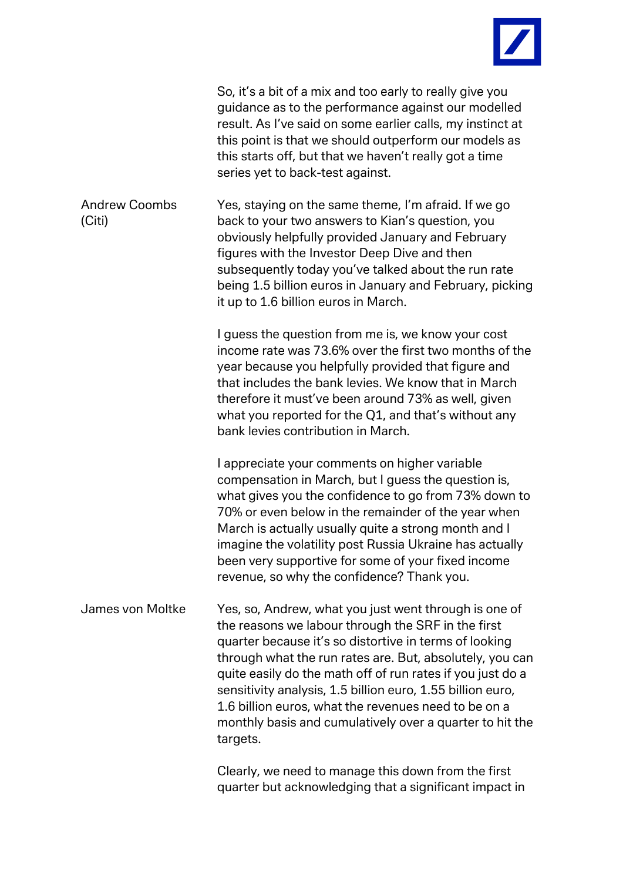

|                                | So, it's a bit of a mix and too early to really give you<br>guidance as to the performance against our modelled<br>result. As I've said on some earlier calls, my instinct at<br>this point is that we should outperform our models as<br>this starts off, but that we haven't really got a time<br>series yet to back-test against.                                                                                                                                                          |
|--------------------------------|-----------------------------------------------------------------------------------------------------------------------------------------------------------------------------------------------------------------------------------------------------------------------------------------------------------------------------------------------------------------------------------------------------------------------------------------------------------------------------------------------|
| <b>Andrew Coombs</b><br>(Citi) | Yes, staying on the same theme, I'm afraid. If we go<br>back to your two answers to Kian's question, you<br>obviously helpfully provided January and February<br>figures with the Investor Deep Dive and then<br>subsequently today you've talked about the run rate<br>being 1.5 billion euros in January and February, picking<br>it up to 1.6 billion euros in March.                                                                                                                      |
|                                | I guess the question from me is, we know your cost<br>income rate was 73.6% over the first two months of the<br>year because you helpfully provided that figure and<br>that includes the bank levies. We know that in March<br>therefore it must've been around 73% as well, given<br>what you reported for the Q1, and that's without any<br>bank levies contribution in March.                                                                                                              |
|                                | I appreciate your comments on higher variable<br>compensation in March, but I guess the question is,<br>what gives you the confidence to go from 73% down to<br>70% or even below in the remainder of the year when<br>March is actually usually quite a strong month and I<br>imagine the volatility post Russia Ukraine has actually<br>been very supportive for some of your fixed income<br>revenue, so why the confidence? Thank you.                                                    |
| James von Moltke               | Yes, so, Andrew, what you just went through is one of<br>the reasons we labour through the SRF in the first<br>quarter because it's so distortive in terms of looking<br>through what the run rates are. But, absolutely, you can<br>quite easily do the math off of run rates if you just do a<br>sensitivity analysis, 1.5 billion euro, 1.55 billion euro,<br>1.6 billion euros, what the revenues need to be on a<br>monthly basis and cumulatively over a quarter to hit the<br>targets. |
|                                | Clearly, we need to manage this down from the first                                                                                                                                                                                                                                                                                                                                                                                                                                           |

quarter but acknowledging that a significant impact in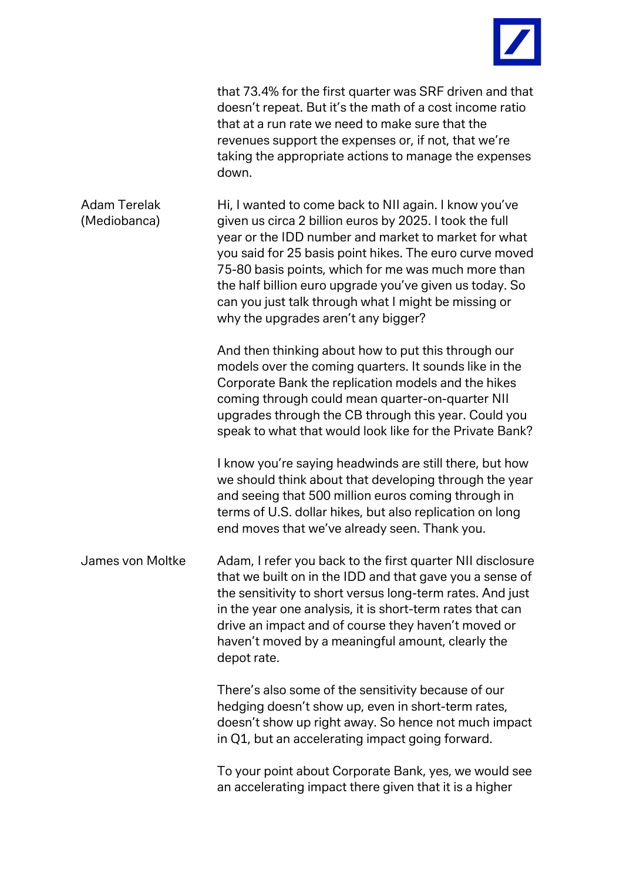

|                                     | that 73.4% for the first quarter was SRF driven and that<br>doesn't repeat. But it's the math of a cost income ratio<br>that at a run rate we need to make sure that the<br>revenues support the expenses or, if not, that we're<br>taking the appropriate actions to manage the expenses<br>down.                                                                                                                                                   |
|-------------------------------------|------------------------------------------------------------------------------------------------------------------------------------------------------------------------------------------------------------------------------------------------------------------------------------------------------------------------------------------------------------------------------------------------------------------------------------------------------|
| <b>Adam Terelak</b><br>(Mediobanca) | Hi, I wanted to come back to NII again. I know you've<br>given us circa 2 billion euros by 2025. I took the full<br>year or the IDD number and market to market for what<br>you said for 25 basis point hikes. The euro curve moved<br>75-80 basis points, which for me was much more than<br>the half billion euro upgrade you've given us today. So<br>can you just talk through what I might be missing or<br>why the upgrades aren't any bigger? |
|                                     | And then thinking about how to put this through our<br>models over the coming quarters. It sounds like in the<br>Corporate Bank the replication models and the hikes<br>coming through could mean quarter-on-quarter NII<br>upgrades through the CB through this year. Could you<br>speak to what that would look like for the Private Bank?                                                                                                         |
|                                     | I know you're saying headwinds are still there, but how<br>we should think about that developing through the year<br>and seeing that 500 million euros coming through in<br>terms of U.S. dollar hikes, but also replication on long<br>end moves that we've already seen. Thank you.                                                                                                                                                                |
| James von Moltke                    | Adam, I refer you back to the first quarter NII disclosure<br>that we built on in the IDD and that gave you a sense of<br>the sensitivity to short versus long-term rates. And just<br>in the year one analysis, it is short-term rates that can<br>drive an impact and of course they haven't moved or<br>haven't moved by a meaningful amount, clearly the<br>depot rate.                                                                          |
|                                     | There's also some of the sensitivity because of our<br>hedging doesn't show up, even in short-term rates,<br>doesn't show up right away. So hence not much impact<br>in Q1, but an accelerating impact going forward.                                                                                                                                                                                                                                |
|                                     | To your point about Corporate Bank, yes, we would see<br>an accelerating impact there given that it is a higher                                                                                                                                                                                                                                                                                                                                      |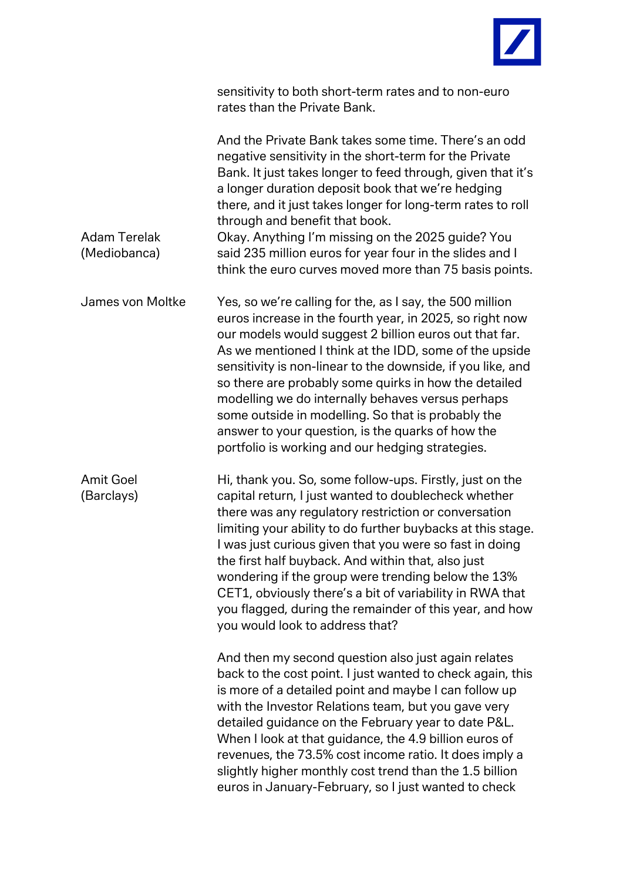

| sensitivity to both short-term rates and to non-euro |
|------------------------------------------------------|
| rates than the Private Bank.                         |

| <b>Adam Terelak</b><br>(Mediobanca) | And the Private Bank takes some time. There's an odd<br>negative sensitivity in the short-term for the Private<br>Bank. It just takes longer to feed through, given that it's<br>a longer duration deposit book that we're hedging<br>there, and it just takes longer for long-term rates to roll<br>through and benefit that book.<br>Okay. Anything I'm missing on the 2025 guide? You<br>said 235 million euros for year four in the slides and I<br>think the euro curves moved more than 75 basis points.                                                                       |
|-------------------------------------|--------------------------------------------------------------------------------------------------------------------------------------------------------------------------------------------------------------------------------------------------------------------------------------------------------------------------------------------------------------------------------------------------------------------------------------------------------------------------------------------------------------------------------------------------------------------------------------|
| James von Moltke                    | Yes, so we're calling for the, as I say, the 500 million<br>euros increase in the fourth year, in 2025, so right now<br>our models would suggest 2 billion euros out that far.<br>As we mentioned I think at the IDD, some of the upside<br>sensitivity is non-linear to the downside, if you like, and<br>so there are probably some quirks in how the detailed<br>modelling we do internally behaves versus perhaps<br>some outside in modelling. So that is probably the<br>answer to your question, is the quarks of how the<br>portfolio is working and our hedging strategies. |
| <b>Amit Goel</b><br>(Barclays)      | Hi, thank you. So, some follow-ups. Firstly, just on the<br>capital return, I just wanted to doublecheck whether<br>there was any regulatory restriction or conversation<br>limiting your ability to do further buybacks at this stage.<br>I was just curious given that you were so fast in doing<br>the first half buyback. And within that, also just<br>wondering if the group were trending below the 13%<br>CET1, obviously there's a bit of variability in RWA that<br>you flagged, during the remainder of this year, and how<br>you would look to address that?             |
|                                     | And then my second question also just again relates<br>back to the cost point. I just wanted to check again, this<br>is more of a detailed point and maybe I can follow up<br>with the Investor Relations team, but you gave very<br>detailed guidance on the February year to date P&L.<br>When I look at that guidance, the 4.9 billion euros of<br>revenues, the 73.5% cost income ratio. It does imply a<br>slightly higher monthly cost trend than the 1.5 billion<br>euros in January-February, so I just wanted to check                                                      |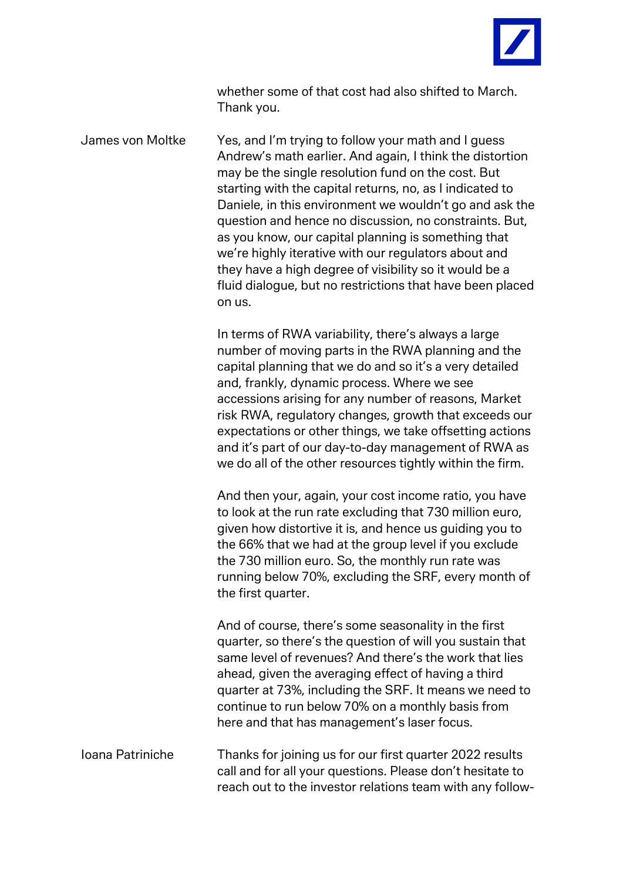

whether some of that cost had also shifted to March. Thank you.

James von Moltke Yes, and I'm trying to follow your math and I guess Andrew's math earlier. And again, I think the distortion may be the single resolution fund on the cost. But starting with the capital returns, no, as I indicated to Daniele, in this environment we wouldn't go and ask the question and hence no discussion, no constraints. But, as you know, our capital planning is something that we're highly iterative with our regulators about and they have a high degree of visibility so it would be a fluid dialogue, but no restrictions that have been placed on us.

> In terms of RWA variability, there's always a large number of moving parts in the RWA planning and the capital planning that we do and so it's a very detailed and, frankly, dynamic process. Where we see accessions arising for any number of reasons, Market risk RWA, regulatory changes, growth that exceeds our expectations or other things, we take offsetting actions and it's part of our day-to-day management of RWA as we do all of the other resources tightly within the firm.

> And then your, again, your cost income ratio, you have to look at the run rate excluding that 730 million euro, given how distortive it is, and hence us guiding you to the 66% that we had at the group level if you exclude the 730 million euro. So, the monthly run rate was running below 70%, excluding the SRF, every month of the first quarter.

And of course, there's some seasonality in the first quarter, so there's the question of will you sustain that same level of revenues? And there's the work that lies ahead, given the averaging effect of having a third quarter at 73%, including the SRF. It means we need to continue to run below 70% on a monthly basis from here and that has management's laser focus.

Ioana Patriniche Thanks for joining us for our first quarter 2022 results call and for all your questions. Please don't hesitate to reach out to the investor relations team with any follow-